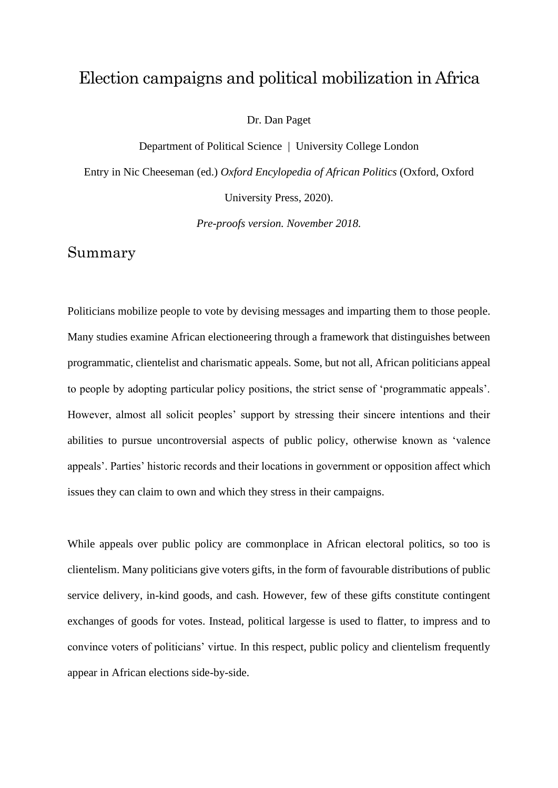## Election campaigns and political mobilization in Africa

Dr. Dan Paget

Department of Political Science | University College London

Entry in Nic Cheeseman (ed.) *Oxford Encylopedia of African Politics* (Oxford, Oxford University Press, 2020).

*Pre-proofs version. November 2018.*

#### Summary

Politicians mobilize people to vote by devising messages and imparting them to those people. Many studies examine African electioneering through a framework that distinguishes between programmatic, clientelist and charismatic appeals. Some, but not all, African politicians appeal to people by adopting particular policy positions, the strict sense of 'programmatic appeals'. However, almost all solicit peoples' support by stressing their sincere intentions and their abilities to pursue uncontroversial aspects of public policy, otherwise known as 'valence appeals'. Parties' historic records and their locations in government or opposition affect which issues they can claim to own and which they stress in their campaigns.

While appeals over public policy are commonplace in African electoral politics, so too is clientelism. Many politicians give voters gifts, in the form of favourable distributions of public service delivery, in-kind goods, and cash. However, few of these gifts constitute contingent exchanges of goods for votes. Instead, political largesse is used to flatter, to impress and to convince voters of politicians' virtue. In this respect, public policy and clientelism frequently appear in African elections side-by-side.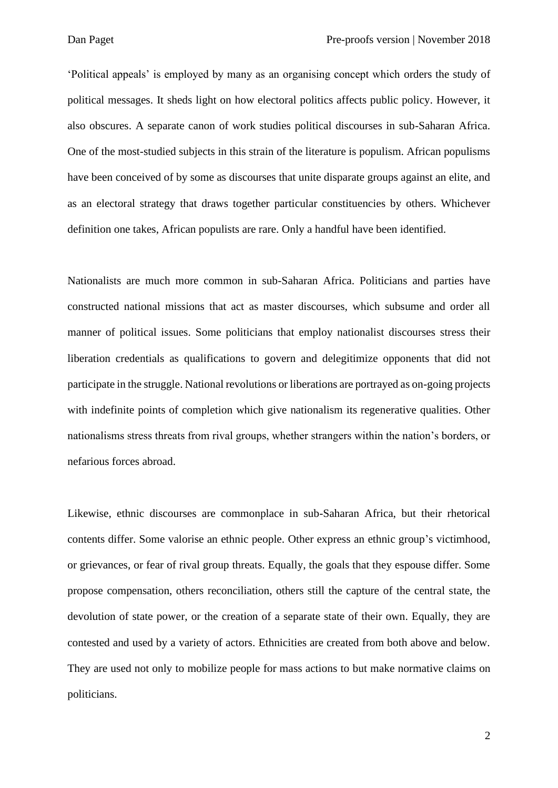'Political appeals' is employed by many as an organising concept which orders the study of political messages. It sheds light on how electoral politics affects public policy. However, it also obscures. A separate canon of work studies political discourses in sub-Saharan Africa. One of the most-studied subjects in this strain of the literature is populism. African populisms have been conceived of by some as discourses that unite disparate groups against an elite, and as an electoral strategy that draws together particular constituencies by others. Whichever definition one takes, African populists are rare. Only a handful have been identified.

Nationalists are much more common in sub-Saharan Africa. Politicians and parties have constructed national missions that act as master discourses, which subsume and order all manner of political issues. Some politicians that employ nationalist discourses stress their liberation credentials as qualifications to govern and delegitimize opponents that did not participate in the struggle. National revolutions or liberations are portrayed as on-going projects with indefinite points of completion which give nationalism its regenerative qualities. Other nationalisms stress threats from rival groups, whether strangers within the nation's borders, or nefarious forces abroad.

Likewise, ethnic discourses are commonplace in sub-Saharan Africa, but their rhetorical contents differ. Some valorise an ethnic people. Other express an ethnic group's victimhood, or grievances, or fear of rival group threats. Equally, the goals that they espouse differ. Some propose compensation, others reconciliation, others still the capture of the central state, the devolution of state power, or the creation of a separate state of their own. Equally, they are contested and used by a variety of actors. Ethnicities are created from both above and below. They are used not only to mobilize people for mass actions to but make normative claims on politicians.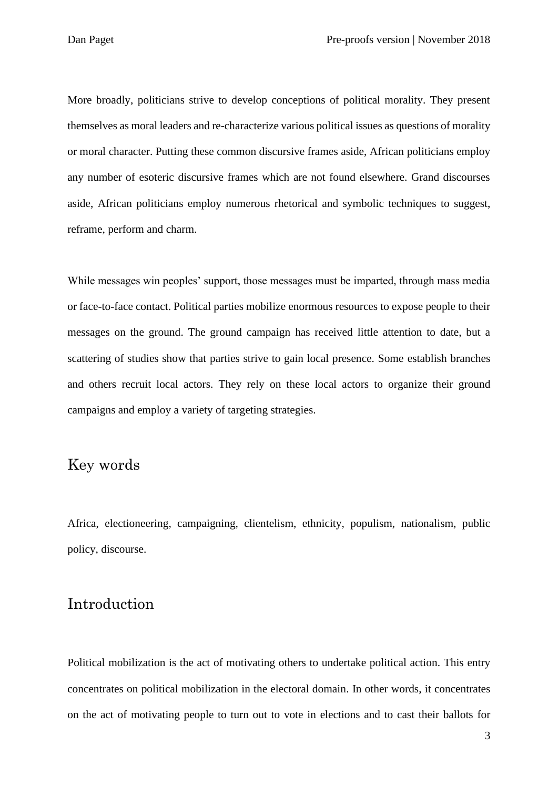More broadly, politicians strive to develop conceptions of political morality. They present themselves as moral leaders and re-characterize various political issues as questions of morality or moral character. Putting these common discursive frames aside, African politicians employ any number of esoteric discursive frames which are not found elsewhere. Grand discourses aside, African politicians employ numerous rhetorical and symbolic techniques to suggest, reframe, perform and charm.

While messages win peoples' support, those messages must be imparted, through mass media or face-to-face contact. Political parties mobilize enormous resources to expose people to their messages on the ground. The ground campaign has received little attention to date, but a scattering of studies show that parties strive to gain local presence. Some establish branches and others recruit local actors. They rely on these local actors to organize their ground campaigns and employ a variety of targeting strategies.

### Key words

Africa, electioneering, campaigning, clientelism, ethnicity, populism, nationalism, public policy, discourse.

## Introduction

Political mobilization is the act of motivating others to undertake political action. This entry concentrates on political mobilization in the electoral domain. In other words, it concentrates on the act of motivating people to turn out to vote in elections and to cast their ballots for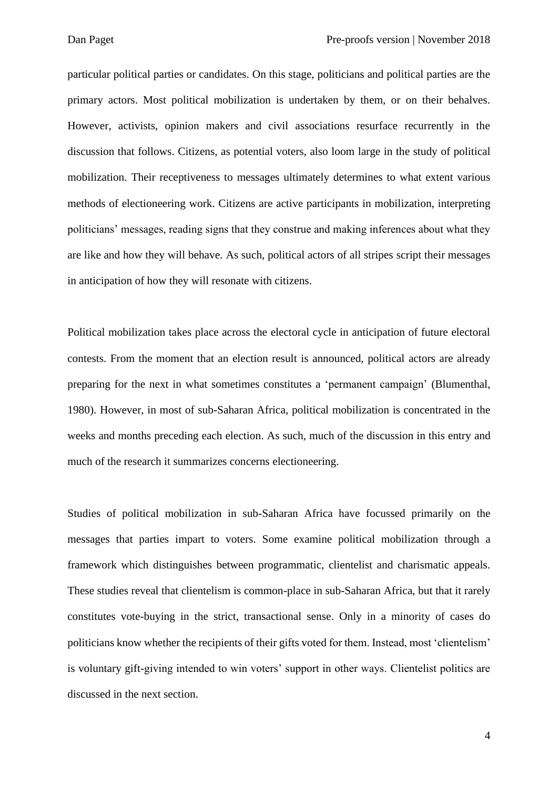particular political parties or candidates. On this stage, politicians and political parties are the primary actors. Most political mobilization is undertaken by them, or on their behalves. However, activists, opinion makers and civil associations resurface recurrently in the discussion that follows. Citizens, as potential voters, also loom large in the study of political mobilization. Their receptiveness to messages ultimately determines to what extent various methods of electioneering work. Citizens are active participants in mobilization, interpreting politicians' messages, reading signs that they construe and making inferences about what they are like and how they will behave. As such, political actors of all stripes script their messages in anticipation of how they will resonate with citizens.

Political mobilization takes place across the electoral cycle in anticipation of future electoral contests. From the moment that an election result is announced, political actors are already preparing for the next in what sometimes constitutes a 'permanent campaign' (Blumenthal, 1980). However, in most of sub-Saharan Africa, political mobilization is concentrated in the weeks and months preceding each election. As such, much of the discussion in this entry and much of the research it summarizes concerns electioneering.

Studies of political mobilization in sub-Saharan Africa have focussed primarily on the messages that parties impart to voters. Some examine political mobilization through a framework which distinguishes between programmatic, clientelist and charismatic appeals. These studies reveal that clientelism is common-place in sub-Saharan Africa, but that it rarely constitutes vote-buying in the strict, transactional sense. Only in a minority of cases do politicians know whether the recipients of their gifts voted for them. Instead, most 'clientelism' is voluntary gift-giving intended to win voters' support in other ways. Clientelist politics are discussed in the next section.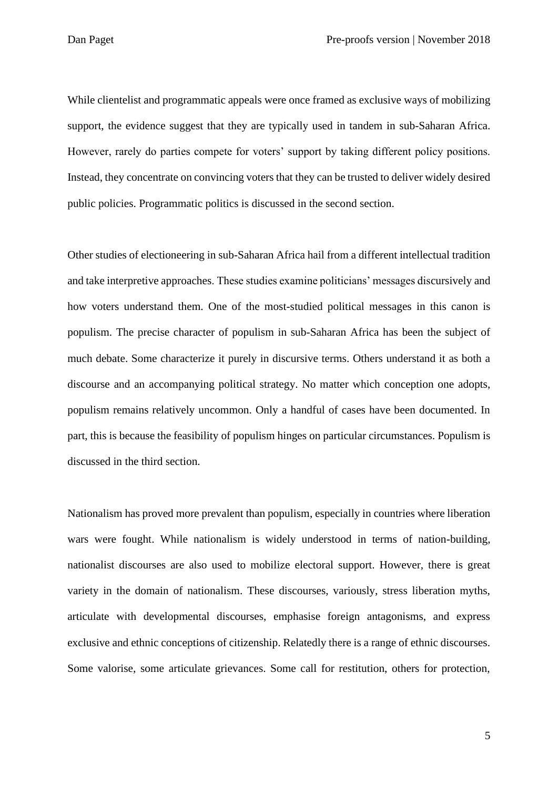While clientelist and programmatic appeals were once framed as exclusive ways of mobilizing support, the evidence suggest that they are typically used in tandem in sub-Saharan Africa. However, rarely do parties compete for voters' support by taking different policy positions. Instead, they concentrate on convincing voters that they can be trusted to deliver widely desired public policies. Programmatic politics is discussed in the second section.

Other studies of electioneering in sub-Saharan Africa hail from a different intellectual tradition and take interpretive approaches. These studies examine politicians' messages discursively and how voters understand them. One of the most-studied political messages in this canon is populism. The precise character of populism in sub-Saharan Africa has been the subject of much debate. Some characterize it purely in discursive terms. Others understand it as both a discourse and an accompanying political strategy. No matter which conception one adopts, populism remains relatively uncommon. Only a handful of cases have been documented. In part, this is because the feasibility of populism hinges on particular circumstances. Populism is discussed in the third section.

Nationalism has proved more prevalent than populism, especially in countries where liberation wars were fought. While nationalism is widely understood in terms of nation-building, nationalist discourses are also used to mobilize electoral support. However, there is great variety in the domain of nationalism. These discourses, variously, stress liberation myths, articulate with developmental discourses, emphasise foreign antagonisms, and express exclusive and ethnic conceptions of citizenship. Relatedly there is a range of ethnic discourses. Some valorise, some articulate grievances. Some call for restitution, others for protection,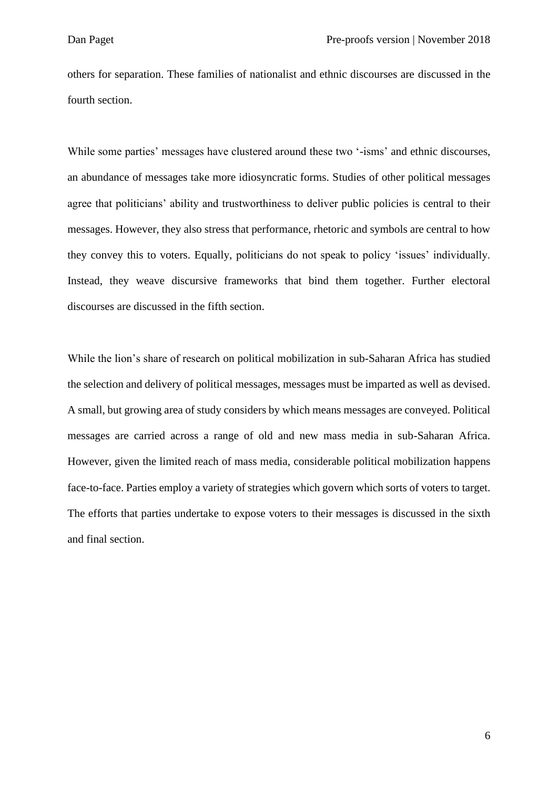others for separation. These families of nationalist and ethnic discourses are discussed in the fourth section.

While some parties' messages have clustered around these two '-isms' and ethnic discourses, an abundance of messages take more idiosyncratic forms. Studies of other political messages agree that politicians' ability and trustworthiness to deliver public policies is central to their messages. However, they also stress that performance, rhetoric and symbols are central to how they convey this to voters. Equally, politicians do not speak to policy 'issues' individually. Instead, they weave discursive frameworks that bind them together. Further electoral discourses are discussed in the fifth section.

While the lion's share of research on political mobilization in sub-Saharan Africa has studied the selection and delivery of political messages, messages must be imparted as well as devised. A small, but growing area of study considers by which means messages are conveyed. Political messages are carried across a range of old and new mass media in sub-Saharan Africa. However, given the limited reach of mass media, considerable political mobilization happens face-to-face. Parties employ a variety of strategies which govern which sorts of voters to target. The efforts that parties undertake to expose voters to their messages is discussed in the sixth and final section.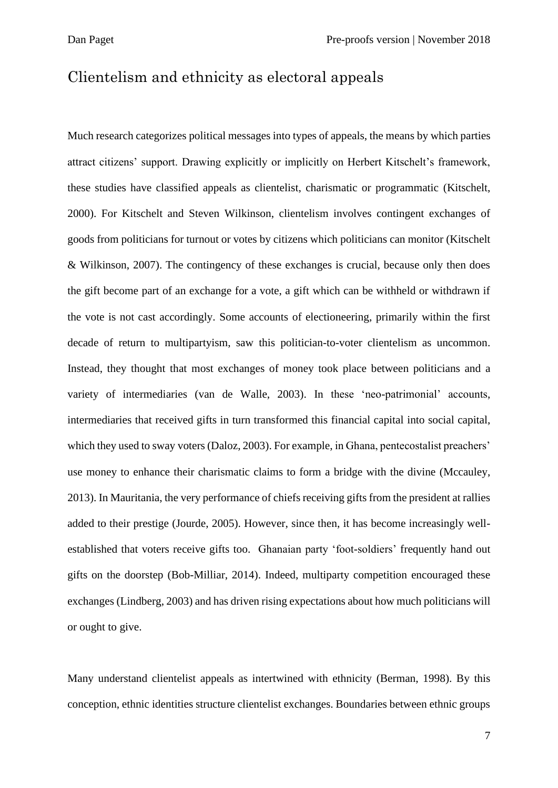### Clientelism and ethnicity as electoral appeals

Much research categorizes political messages into types of appeals, the means by which parties attract citizens' support. Drawing explicitly or implicitly on Herbert Kitschelt's framework, these studies have classified appeals as clientelist, charismatic or programmatic (Kitschelt, 2000). For Kitschelt and Steven Wilkinson, clientelism involves contingent exchanges of goods from politicians for turnout or votes by citizens which politicians can monitor (Kitschelt & Wilkinson, 2007). The contingency of these exchanges is crucial, because only then does the gift become part of an exchange for a vote, a gift which can be withheld or withdrawn if the vote is not cast accordingly. Some accounts of electioneering, primarily within the first decade of return to multipartyism, saw this politician-to-voter clientelism as uncommon. Instead, they thought that most exchanges of money took place between politicians and a variety of intermediaries (van de Walle, 2003). In these 'neo-patrimonial' accounts, intermediaries that received gifts in turn transformed this financial capital into social capital, which they used to sway voters (Daloz, 2003). For example, in Ghana, pentecostalist preachers' use money to enhance their charismatic claims to form a bridge with the divine (Mccauley, 2013). In Mauritania, the very performance of chiefs receiving gifts from the president at rallies added to their prestige (Jourde, 2005). However, since then, it has become increasingly wellestablished that voters receive gifts too. Ghanaian party 'foot-soldiers' frequently hand out gifts on the doorstep (Bob-Milliar, 2014). Indeed, multiparty competition encouraged these exchanges (Lindberg, 2003) and has driven rising expectations about how much politicians will or ought to give.

Many understand clientelist appeals as intertwined with ethnicity (Berman, 1998). By this conception, ethnic identities structure clientelist exchanges. Boundaries between ethnic groups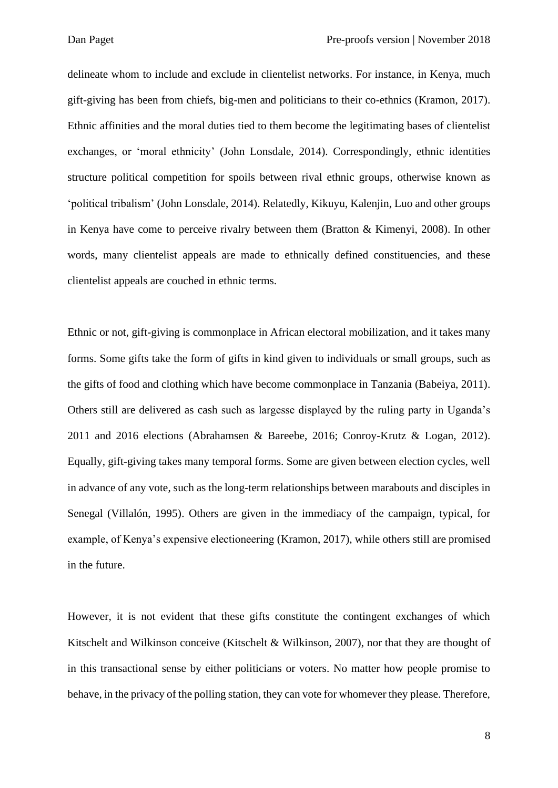delineate whom to include and exclude in clientelist networks. For instance, in Kenya, much gift-giving has been from chiefs, big-men and politicians to their co-ethnics (Kramon, 2017). Ethnic affinities and the moral duties tied to them become the legitimating bases of clientelist exchanges, or 'moral ethnicity' (John Lonsdale, 2014). Correspondingly, ethnic identities structure political competition for spoils between rival ethnic groups, otherwise known as 'political tribalism' (John Lonsdale, 2014). Relatedly, Kikuyu, Kalenjin, Luo and other groups in Kenya have come to perceive rivalry between them (Bratton & Kimenyi, 2008). In other words, many clientelist appeals are made to ethnically defined constituencies, and these clientelist appeals are couched in ethnic terms.

Ethnic or not, gift-giving is commonplace in African electoral mobilization, and it takes many forms. Some gifts take the form of gifts in kind given to individuals or small groups, such as the gifts of food and clothing which have become commonplace in Tanzania (Babeiya, 2011). Others still are delivered as cash such as largesse displayed by the ruling party in Uganda's 2011 and 2016 elections (Abrahamsen & Bareebe, 2016; Conroy-Krutz & Logan, 2012). Equally, gift-giving takes many temporal forms. Some are given between election cycles, well in advance of any vote, such as the long-term relationships between marabouts and disciples in Senegal (Villalón, 1995). Others are given in the immediacy of the campaign, typical, for example, of Kenya's expensive electioneering (Kramon, 2017), while others still are promised in the future.

However, it is not evident that these gifts constitute the contingent exchanges of which Kitschelt and Wilkinson conceive (Kitschelt & Wilkinson, 2007), nor that they are thought of in this transactional sense by either politicians or voters. No matter how people promise to behave, in the privacy of the polling station, they can vote for whomever they please. Therefore,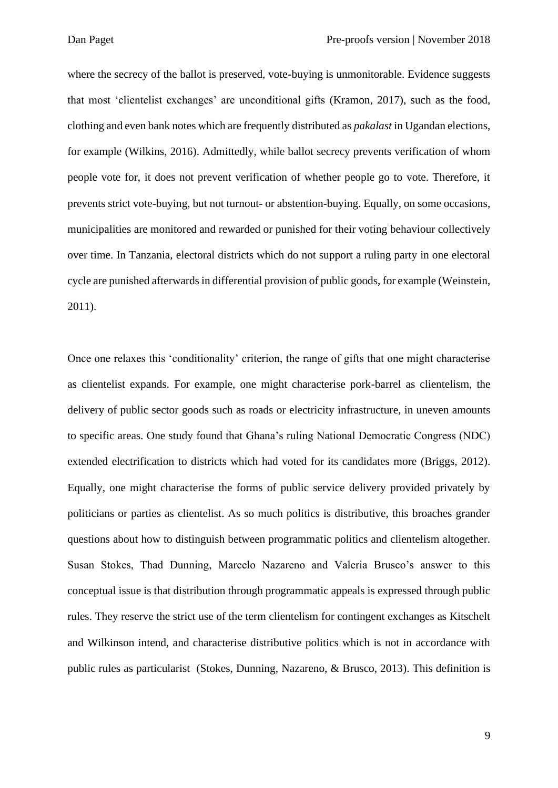where the secrecy of the ballot is preserved, vote-buying is unmonitorable. Evidence suggests that most 'clientelist exchanges' are unconditional gifts (Kramon, 2017), such as the food, clothing and even bank notes which are frequently distributed as *pakalast* in Ugandan elections, for example (Wilkins, 2016). Admittedly, while ballot secrecy prevents verification of whom people vote for, it does not prevent verification of whether people go to vote. Therefore, it prevents strict vote-buying, but not turnout- or abstention-buying. Equally, on some occasions, municipalities are monitored and rewarded or punished for their voting behaviour collectively over time. In Tanzania, electoral districts which do not support a ruling party in one electoral cycle are punished afterwards in differential provision of public goods, for example (Weinstein, 2011).

Once one relaxes this 'conditionality' criterion, the range of gifts that one might characterise as clientelist expands. For example, one might characterise pork-barrel as clientelism, the delivery of public sector goods such as roads or electricity infrastructure, in uneven amounts to specific areas. One study found that Ghana's ruling National Democratic Congress (NDC) extended electrification to districts which had voted for its candidates more (Briggs, 2012). Equally, one might characterise the forms of public service delivery provided privately by politicians or parties as clientelist. As so much politics is distributive, this broaches grander questions about how to distinguish between programmatic politics and clientelism altogether. Susan Stokes, Thad Dunning, Marcelo Nazareno and Valeria Brusco's answer to this conceptual issue is that distribution through programmatic appeals is expressed through public rules. They reserve the strict use of the term clientelism for contingent exchanges as Kitschelt and Wilkinson intend, and characterise distributive politics which is not in accordance with public rules as particularist (Stokes, Dunning, Nazareno, & Brusco, 2013). This definition is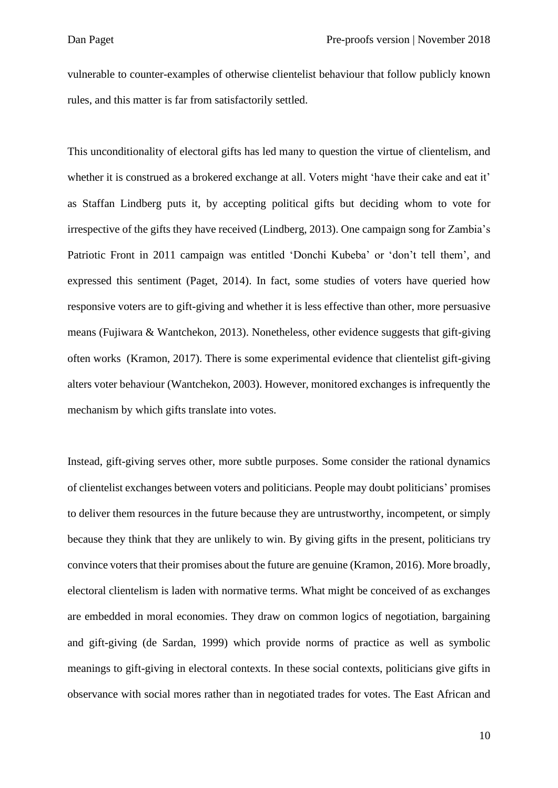vulnerable to counter-examples of otherwise clientelist behaviour that follow publicly known rules, and this matter is far from satisfactorily settled.

This unconditionality of electoral gifts has led many to question the virtue of clientelism, and whether it is construed as a brokered exchange at all. Voters might 'have their cake and eat it' as Staffan Lindberg puts it, by accepting political gifts but deciding whom to vote for irrespective of the gifts they have received (Lindberg, 2013). One campaign song for Zambia's Patriotic Front in 2011 campaign was entitled 'Donchi Kubeba' or 'don't tell them', and expressed this sentiment (Paget, 2014). In fact, some studies of voters have queried how responsive voters are to gift-giving and whether it is less effective than other, more persuasive means (Fujiwara & Wantchekon, 2013). Nonetheless, other evidence suggests that gift-giving often works (Kramon, 2017). There is some experimental evidence that clientelist gift-giving alters voter behaviour (Wantchekon, 2003). However, monitored exchanges is infrequently the mechanism by which gifts translate into votes.

Instead, gift-giving serves other, more subtle purposes. Some consider the rational dynamics of clientelist exchanges between voters and politicians. People may doubt politicians' promises to deliver them resources in the future because they are untrustworthy, incompetent, or simply because they think that they are unlikely to win. By giving gifts in the present, politicians try convince voters that their promises about the future are genuine (Kramon, 2016). More broadly, electoral clientelism is laden with normative terms. What might be conceived of as exchanges are embedded in moral economies. They draw on common logics of negotiation, bargaining and gift-giving (de Sardan, 1999) which provide norms of practice as well as symbolic meanings to gift-giving in electoral contexts. In these social contexts, politicians give gifts in observance with social mores rather than in negotiated trades for votes. The East African and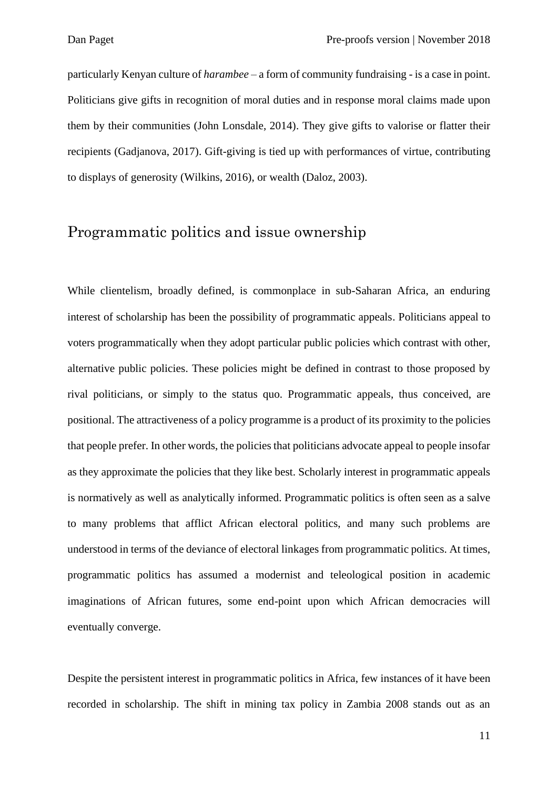particularly Kenyan culture of *harambee* – a form of community fundraising - is a case in point. Politicians give gifts in recognition of moral duties and in response moral claims made upon them by their communities (John Lonsdale, 2014). They give gifts to valorise or flatter their recipients (Gadjanova, 2017). Gift-giving is tied up with performances of virtue, contributing to displays of generosity (Wilkins, 2016), or wealth (Daloz, 2003).

## Programmatic politics and issue ownership

While clientelism, broadly defined, is commonplace in sub-Saharan Africa, an enduring interest of scholarship has been the possibility of programmatic appeals. Politicians appeal to voters programmatically when they adopt particular public policies which contrast with other, alternative public policies. These policies might be defined in contrast to those proposed by rival politicians, or simply to the status quo. Programmatic appeals, thus conceived, are positional. The attractiveness of a policy programme is a product of its proximity to the policies that people prefer. In other words, the policies that politicians advocate appeal to people insofar as they approximate the policies that they like best. Scholarly interest in programmatic appeals is normatively as well as analytically informed. Programmatic politics is often seen as a salve to many problems that afflict African electoral politics, and many such problems are understood in terms of the deviance of electoral linkages from programmatic politics. At times, programmatic politics has assumed a modernist and teleological position in academic imaginations of African futures, some end-point upon which African democracies will eventually converge.

Despite the persistent interest in programmatic politics in Africa, few instances of it have been recorded in scholarship. The shift in mining tax policy in Zambia 2008 stands out as an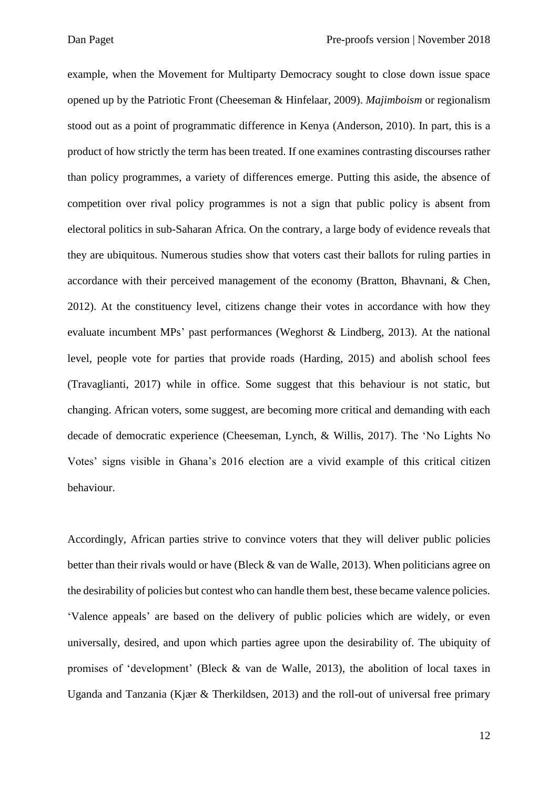example, when the Movement for Multiparty Democracy sought to close down issue space opened up by the Patriotic Front (Cheeseman & Hinfelaar, 2009). *Majimboism* or regionalism stood out as a point of programmatic difference in Kenya (Anderson, 2010). In part, this is a product of how strictly the term has been treated. If one examines contrasting discourses rather than policy programmes, a variety of differences emerge. Putting this aside, the absence of competition over rival policy programmes is not a sign that public policy is absent from electoral politics in sub-Saharan Africa. On the contrary, a large body of evidence reveals that they are ubiquitous. Numerous studies show that voters cast their ballots for ruling parties in accordance with their perceived management of the economy (Bratton, Bhavnani, & Chen, 2012). At the constituency level, citizens change their votes in accordance with how they evaluate incumbent MPs' past performances (Weghorst & Lindberg, 2013). At the national level, people vote for parties that provide roads (Harding, 2015) and abolish school fees (Travaglianti, 2017) while in office. Some suggest that this behaviour is not static, but changing. African voters, some suggest, are becoming more critical and demanding with each decade of democratic experience (Cheeseman, Lynch, & Willis, 2017). The 'No Lights No Votes' signs visible in Ghana's 2016 election are a vivid example of this critical citizen behaviour.

Accordingly, African parties strive to convince voters that they will deliver public policies better than their rivals would or have (Bleck & van de Walle, 2013). When politicians agree on the desirability of policies but contest who can handle them best, these became valence policies. 'Valence appeals' are based on the delivery of public policies which are widely, or even universally, desired, and upon which parties agree upon the desirability of. The ubiquity of promises of 'development' (Bleck & van de Walle, 2013), the abolition of local taxes in Uganda and Tanzania (Kjær & Therkildsen, 2013) and the roll-out of universal free primary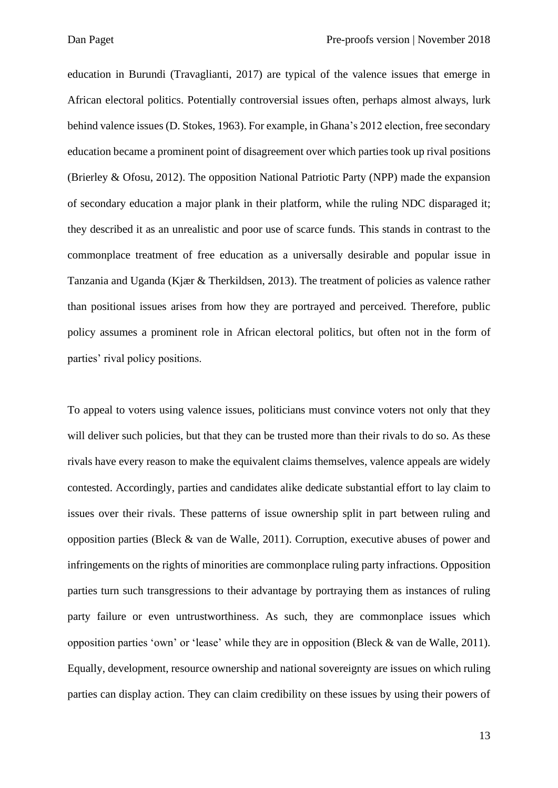education in Burundi (Travaglianti, 2017) are typical of the valence issues that emerge in African electoral politics. Potentially controversial issues often, perhaps almost always, lurk behind valence issues (D. Stokes, 1963). For example, in Ghana's 2012 election, free secondary education became a prominent point of disagreement over which parties took up rival positions (Brierley & Ofosu, 2012). The opposition National Patriotic Party (NPP) made the expansion of secondary education a major plank in their platform, while the ruling NDC disparaged it; they described it as an unrealistic and poor use of scarce funds. This stands in contrast to the commonplace treatment of free education as a universally desirable and popular issue in Tanzania and Uganda (Kjær & Therkildsen, 2013). The treatment of policies as valence rather than positional issues arises from how they are portrayed and perceived. Therefore, public policy assumes a prominent role in African electoral politics, but often not in the form of parties' rival policy positions.

To appeal to voters using valence issues, politicians must convince voters not only that they will deliver such policies, but that they can be trusted more than their rivals to do so. As these rivals have every reason to make the equivalent claims themselves, valence appeals are widely contested. Accordingly, parties and candidates alike dedicate substantial effort to lay claim to issues over their rivals. These patterns of issue ownership split in part between ruling and opposition parties (Bleck & van de Walle, 2011). Corruption, executive abuses of power and infringements on the rights of minorities are commonplace ruling party infractions. Opposition parties turn such transgressions to their advantage by portraying them as instances of ruling party failure or even untrustworthiness. As such, they are commonplace issues which opposition parties 'own' or 'lease' while they are in opposition (Bleck & van de Walle, 2011). Equally, development, resource ownership and national sovereignty are issues on which ruling parties can display action. They can claim credibility on these issues by using their powers of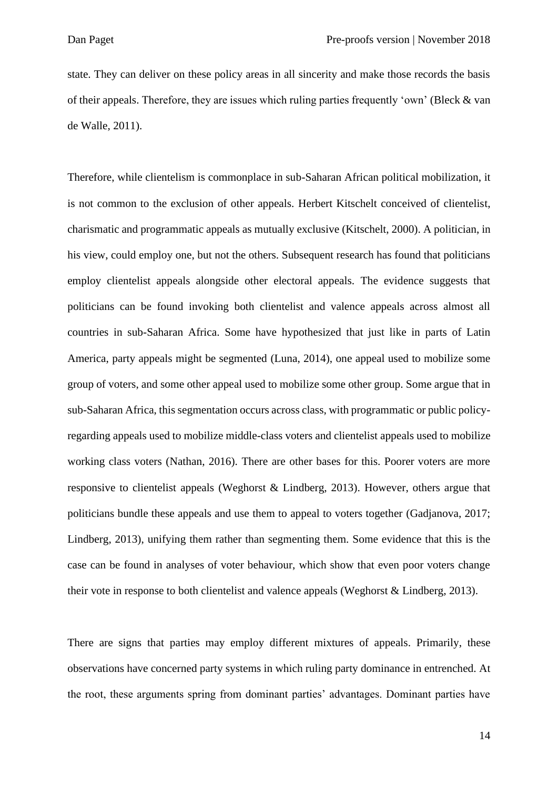state. They can deliver on these policy areas in all sincerity and make those records the basis of their appeals. Therefore, they are issues which ruling parties frequently 'own' (Bleck & van de Walle, 2011).

Therefore, while clientelism is commonplace in sub-Saharan African political mobilization, it is not common to the exclusion of other appeals. Herbert Kitschelt conceived of clientelist, charismatic and programmatic appeals as mutually exclusive (Kitschelt, 2000). A politician, in his view, could employ one, but not the others. Subsequent research has found that politicians employ clientelist appeals alongside other electoral appeals. The evidence suggests that politicians can be found invoking both clientelist and valence appeals across almost all countries in sub-Saharan Africa. Some have hypothesized that just like in parts of Latin America, party appeals might be segmented (Luna, 2014), one appeal used to mobilize some group of voters, and some other appeal used to mobilize some other group. Some argue that in sub-Saharan Africa, this segmentation occurs across class, with programmatic or public policyregarding appeals used to mobilize middle-class voters and clientelist appeals used to mobilize working class voters (Nathan, 2016). There are other bases for this. Poorer voters are more responsive to clientelist appeals (Weghorst & Lindberg, 2013). However, others argue that politicians bundle these appeals and use them to appeal to voters together (Gadjanova, 2017; Lindberg, 2013), unifying them rather than segmenting them. Some evidence that this is the case can be found in analyses of voter behaviour, which show that even poor voters change their vote in response to both clientelist and valence appeals (Weghorst & Lindberg, 2013).

There are signs that parties may employ different mixtures of appeals. Primarily, these observations have concerned party systems in which ruling party dominance in entrenched. At the root, these arguments spring from dominant parties' advantages. Dominant parties have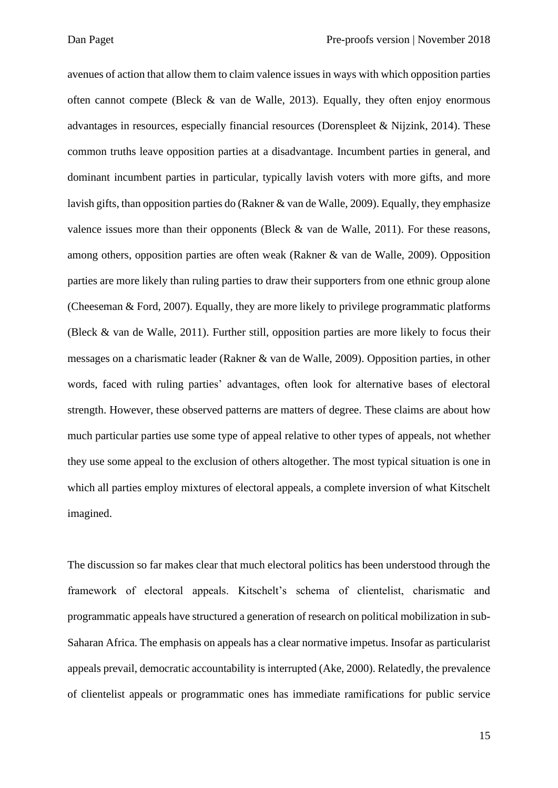avenues of action that allow them to claim valence issues in ways with which opposition parties often cannot compete (Bleck  $\&$  van de Walle, 2013). Equally, they often enjoy enormous advantages in resources, especially financial resources (Dorenspleet & Nijzink, 2014). These common truths leave opposition parties at a disadvantage. Incumbent parties in general, and dominant incumbent parties in particular, typically lavish voters with more gifts, and more lavish gifts, than opposition parties do (Rakner & van de Walle, 2009). Equally, they emphasize valence issues more than their opponents (Bleck & van de Walle, 2011). For these reasons, among others, opposition parties are often weak (Rakner & van de Walle, 2009). Opposition parties are more likely than ruling parties to draw their supporters from one ethnic group alone (Cheeseman & Ford, 2007). Equally, they are more likely to privilege programmatic platforms (Bleck & van de Walle, 2011). Further still, opposition parties are more likely to focus their messages on a charismatic leader (Rakner & van de Walle, 2009). Opposition parties, in other words, faced with ruling parties' advantages, often look for alternative bases of electoral strength. However, these observed patterns are matters of degree. These claims are about how much particular parties use some type of appeal relative to other types of appeals, not whether they use some appeal to the exclusion of others altogether. The most typical situation is one in which all parties employ mixtures of electoral appeals, a complete inversion of what Kitschelt imagined.

The discussion so far makes clear that much electoral politics has been understood through the framework of electoral appeals. Kitschelt's schema of clientelist, charismatic and programmatic appeals have structured a generation of research on political mobilization in sub-Saharan Africa. The emphasis on appeals has a clear normative impetus. Insofar as particularist appeals prevail, democratic accountability is interrupted (Ake, 2000). Relatedly, the prevalence of clientelist appeals or programmatic ones has immediate ramifications for public service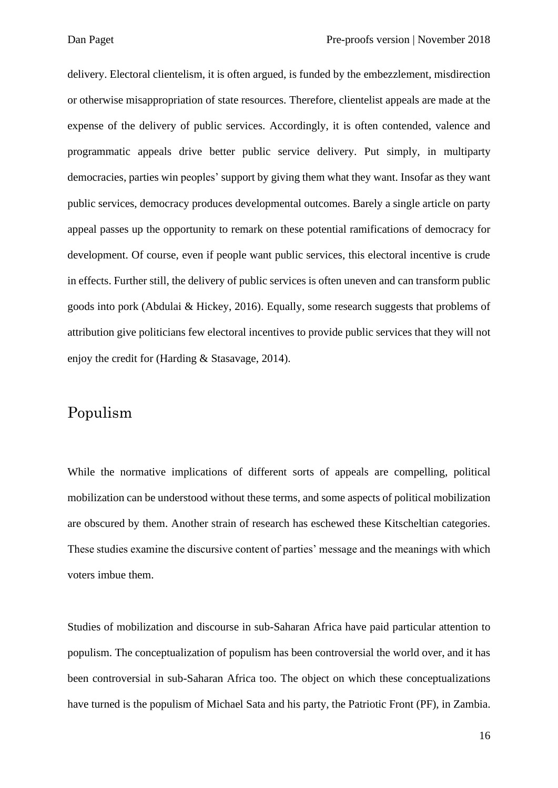delivery. Electoral clientelism, it is often argued, is funded by the embezzlement, misdirection or otherwise misappropriation of state resources. Therefore, clientelist appeals are made at the expense of the delivery of public services. Accordingly, it is often contended, valence and programmatic appeals drive better public service delivery. Put simply, in multiparty democracies, parties win peoples' support by giving them what they want. Insofar as they want public services, democracy produces developmental outcomes. Barely a single article on party appeal passes up the opportunity to remark on these potential ramifications of democracy for development. Of course, even if people want public services, this electoral incentive is crude in effects. Further still, the delivery of public services is often uneven and can transform public goods into pork (Abdulai & Hickey, 2016). Equally, some research suggests that problems of attribution give politicians few electoral incentives to provide public services that they will not enjoy the credit for (Harding & Stasavage, 2014).

## Populism

While the normative implications of different sorts of appeals are compelling, political mobilization can be understood without these terms, and some aspects of political mobilization are obscured by them. Another strain of research has eschewed these Kitscheltian categories. These studies examine the discursive content of parties' message and the meanings with which voters imbue them.

Studies of mobilization and discourse in sub-Saharan Africa have paid particular attention to populism. The conceptualization of populism has been controversial the world over, and it has been controversial in sub-Saharan Africa too. The object on which these conceptualizations have turned is the populism of Michael Sata and his party, the Patriotic Front (PF), in Zambia.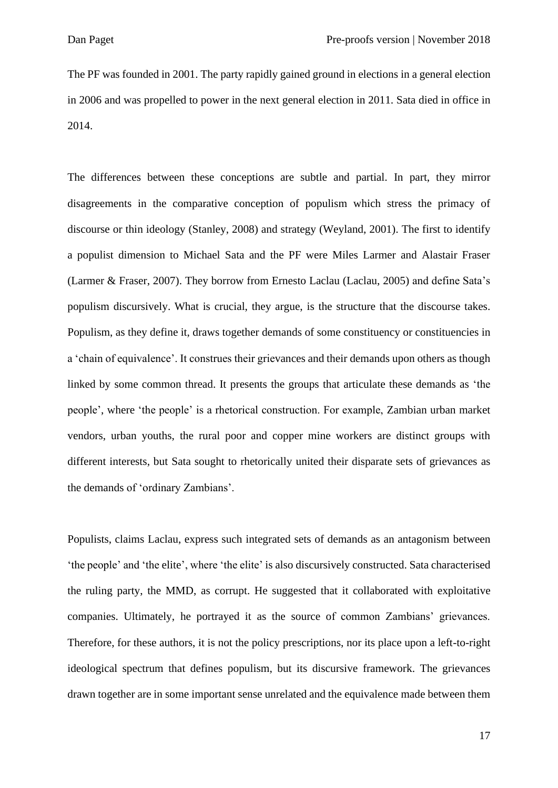The PF was founded in 2001. The party rapidly gained ground in elections in a general election in 2006 and was propelled to power in the next general election in 2011. Sata died in office in 2014.

The differences between these conceptions are subtle and partial. In part, they mirror disagreements in the comparative conception of populism which stress the primacy of discourse or thin ideology (Stanley, 2008) and strategy (Weyland, 2001). The first to identify a populist dimension to Michael Sata and the PF were Miles Larmer and Alastair Fraser (Larmer & Fraser, 2007). They borrow from Ernesto Laclau (Laclau, 2005) and define Sata's populism discursively. What is crucial, they argue, is the structure that the discourse takes. Populism, as they define it, draws together demands of some constituency or constituencies in a 'chain of equivalence'. It construes their grievances and their demands upon others as though linked by some common thread. It presents the groups that articulate these demands as 'the people', where 'the people' is a rhetorical construction. For example, Zambian urban market vendors, urban youths, the rural poor and copper mine workers are distinct groups with different interests, but Sata sought to rhetorically united their disparate sets of grievances as the demands of 'ordinary Zambians'.

Populists, claims Laclau, express such integrated sets of demands as an antagonism between 'the people' and 'the elite', where 'the elite' is also discursively constructed. Sata characterised the ruling party, the MMD, as corrupt. He suggested that it collaborated with exploitative companies. Ultimately, he portrayed it as the source of common Zambians' grievances. Therefore, for these authors, it is not the policy prescriptions, nor its place upon a left-to-right ideological spectrum that defines populism, but its discursive framework. The grievances drawn together are in some important sense unrelated and the equivalence made between them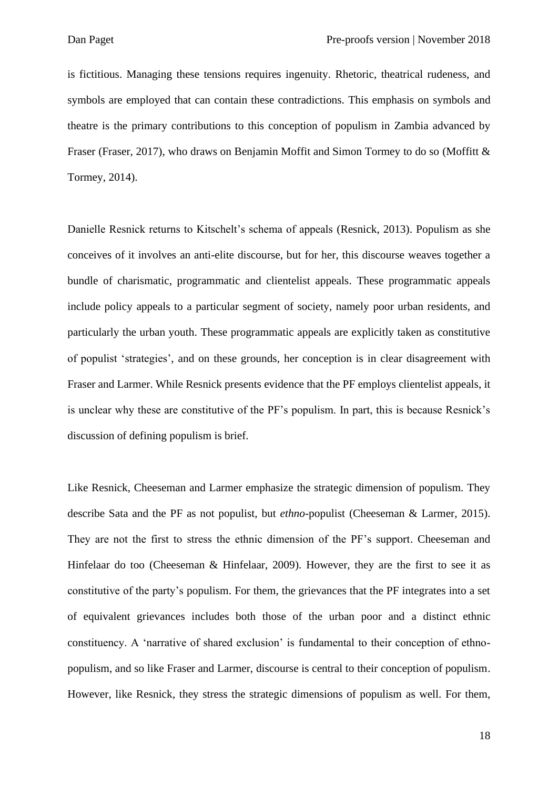is fictitious. Managing these tensions requires ingenuity. Rhetoric, theatrical rudeness, and symbols are employed that can contain these contradictions. This emphasis on symbols and theatre is the primary contributions to this conception of populism in Zambia advanced by Fraser (Fraser, 2017), who draws on Benjamin Moffit and Simon Tormey to do so (Moffitt & Tormey, 2014).

Danielle Resnick returns to Kitschelt's schema of appeals (Resnick, 2013). Populism as she conceives of it involves an anti-elite discourse, but for her, this discourse weaves together a bundle of charismatic, programmatic and clientelist appeals. These programmatic appeals include policy appeals to a particular segment of society, namely poor urban residents, and particularly the urban youth. These programmatic appeals are explicitly taken as constitutive of populist 'strategies', and on these grounds, her conception is in clear disagreement with Fraser and Larmer. While Resnick presents evidence that the PF employs clientelist appeals, it is unclear why these are constitutive of the PF's populism. In part, this is because Resnick's discussion of defining populism is brief.

Like Resnick, Cheeseman and Larmer emphasize the strategic dimension of populism. They describe Sata and the PF as not populist, but *ethno*-populist (Cheeseman & Larmer, 2015). They are not the first to stress the ethnic dimension of the PF's support. Cheeseman and Hinfelaar do too (Cheeseman & Hinfelaar, 2009). However, they are the first to see it as constitutive of the party's populism. For them, the grievances that the PF integrates into a set of equivalent grievances includes both those of the urban poor and a distinct ethnic constituency. A 'narrative of shared exclusion' is fundamental to their conception of ethnopopulism, and so like Fraser and Larmer, discourse is central to their conception of populism. However, like Resnick, they stress the strategic dimensions of populism as well. For them,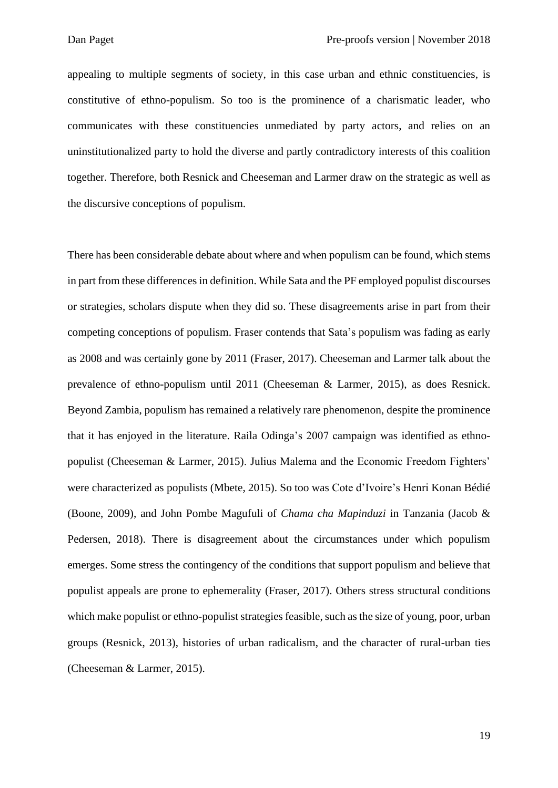appealing to multiple segments of society, in this case urban and ethnic constituencies, is constitutive of ethno-populism. So too is the prominence of a charismatic leader, who communicates with these constituencies unmediated by party actors, and relies on an uninstitutionalized party to hold the diverse and partly contradictory interests of this coalition together. Therefore, both Resnick and Cheeseman and Larmer draw on the strategic as well as the discursive conceptions of populism.

There has been considerable debate about where and when populism can be found, which stems in part from these differences in definition. While Sata and the PF employed populist discourses or strategies, scholars dispute when they did so. These disagreements arise in part from their competing conceptions of populism. Fraser contends that Sata's populism was fading as early as 2008 and was certainly gone by 2011 (Fraser, 2017). Cheeseman and Larmer talk about the prevalence of ethno-populism until 2011 (Cheeseman & Larmer, 2015), as does Resnick. Beyond Zambia, populism has remained a relatively rare phenomenon, despite the prominence that it has enjoyed in the literature. Raila Odinga's 2007 campaign was identified as ethnopopulist (Cheeseman & Larmer, 2015). Julius Malema and the Economic Freedom Fighters' were characterized as populists (Mbete, 2015). So too was Cote d'Ivoire's Henri Konan Bédié (Boone, 2009), and John Pombe Magufuli of *Chama cha Mapinduzi* in Tanzania (Jacob & Pedersen, 2018). There is disagreement about the circumstances under which populism emerges. Some stress the contingency of the conditions that support populism and believe that populist appeals are prone to ephemerality (Fraser, 2017). Others stress structural conditions which make populist or ethno-populist strategies feasible, such as the size of young, poor, urban groups (Resnick, 2013), histories of urban radicalism, and the character of rural-urban ties (Cheeseman & Larmer, 2015).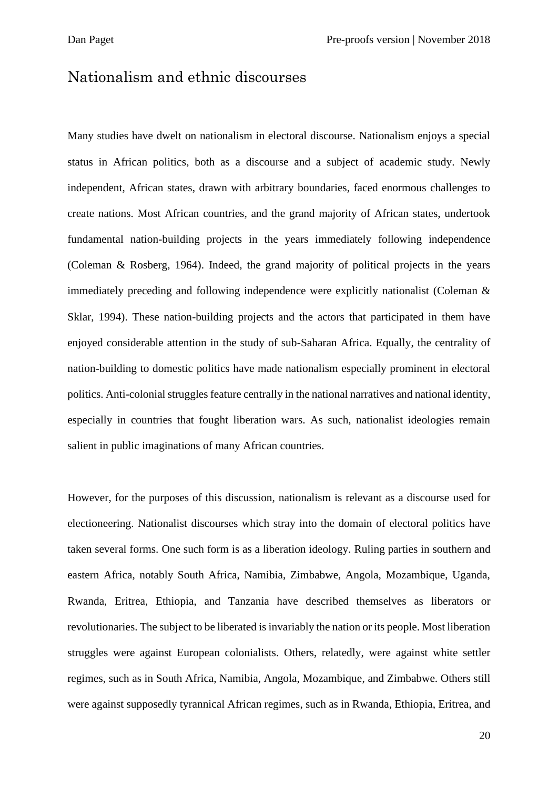## Nationalism and ethnic discourses

Many studies have dwelt on nationalism in electoral discourse. Nationalism enjoys a special status in African politics, both as a discourse and a subject of academic study. Newly independent, African states, drawn with arbitrary boundaries, faced enormous challenges to create nations. Most African countries, and the grand majority of African states, undertook fundamental nation-building projects in the years immediately following independence (Coleman & Rosberg, 1964). Indeed, the grand majority of political projects in the years immediately preceding and following independence were explicitly nationalist (Coleman & Sklar, 1994). These nation-building projects and the actors that participated in them have enjoyed considerable attention in the study of sub-Saharan Africa. Equally, the centrality of nation-building to domestic politics have made nationalism especially prominent in electoral politics. Anti-colonial struggles feature centrally in the national narratives and national identity, especially in countries that fought liberation wars. As such, nationalist ideologies remain salient in public imaginations of many African countries.

However, for the purposes of this discussion, nationalism is relevant as a discourse used for electioneering. Nationalist discourses which stray into the domain of electoral politics have taken several forms. One such form is as a liberation ideology. Ruling parties in southern and eastern Africa, notably South Africa, Namibia, Zimbabwe, Angola, Mozambique, Uganda, Rwanda, Eritrea, Ethiopia, and Tanzania have described themselves as liberators or revolutionaries. The subject to be liberated is invariably the nation or its people. Most liberation struggles were against European colonialists. Others, relatedly, were against white settler regimes, such as in South Africa, Namibia, Angola, Mozambique, and Zimbabwe. Others still were against supposedly tyrannical African regimes, such as in Rwanda, Ethiopia, Eritrea, and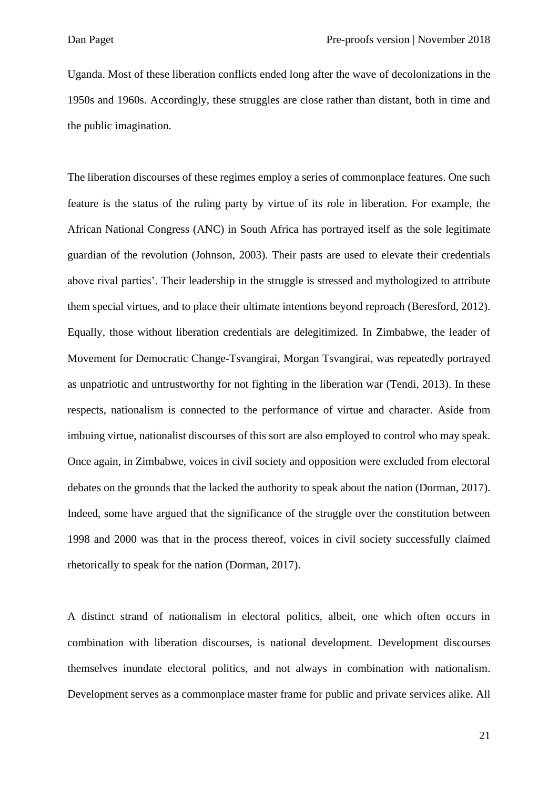Uganda. Most of these liberation conflicts ended long after the wave of decolonizations in the 1950s and 1960s. Accordingly, these struggles are close rather than distant, both in time and the public imagination.

The liberation discourses of these regimes employ a series of commonplace features. One such feature is the status of the ruling party by virtue of its role in liberation. For example, the African National Congress (ANC) in South Africa has portrayed itself as the sole legitimate guardian of the revolution (Johnson, 2003). Their pasts are used to elevate their credentials above rival parties'. Their leadership in the struggle is stressed and mythologized to attribute them special virtues, and to place their ultimate intentions beyond reproach (Beresford, 2012). Equally, those without liberation credentials are delegitimized. In Zimbabwe, the leader of Movement for Democratic Change-Tsvangirai, Morgan Tsvangirai, was repeatedly portrayed as unpatriotic and untrustworthy for not fighting in the liberation war (Tendi, 2013). In these respects, nationalism is connected to the performance of virtue and character. Aside from imbuing virtue, nationalist discourses of this sort are also employed to control who may speak. Once again, in Zimbabwe, voices in civil society and opposition were excluded from electoral debates on the grounds that the lacked the authority to speak about the nation (Dorman, 2017). Indeed, some have argued that the significance of the struggle over the constitution between 1998 and 2000 was that in the process thereof, voices in civil society successfully claimed rhetorically to speak for the nation (Dorman, 2017).

A distinct strand of nationalism in electoral politics, albeit, one which often occurs in combination with liberation discourses, is national development. Development discourses themselves inundate electoral politics, and not always in combination with nationalism. Development serves as a commonplace master frame for public and private services alike. All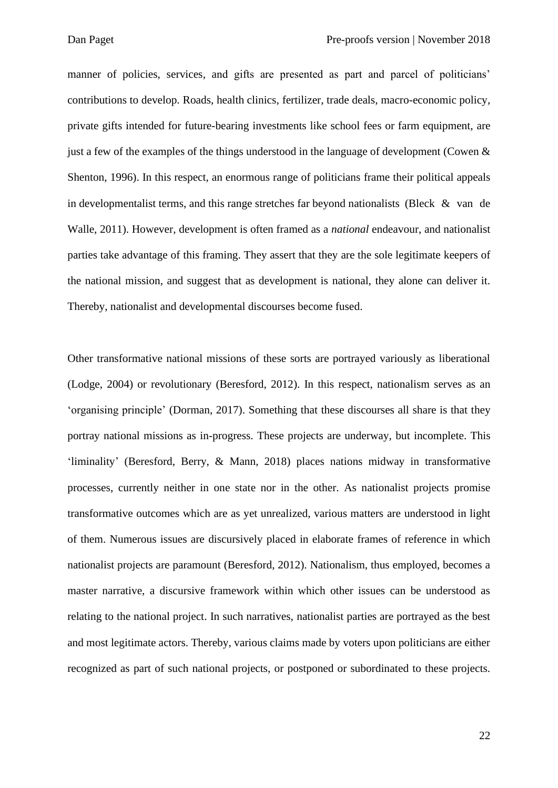manner of policies, services, and gifts are presented as part and parcel of politicians' contributions to develop. Roads, health clinics, fertilizer, trade deals, macro-economic policy, private gifts intended for future-bearing investments like school fees or farm equipment, are just a few of the examples of the things understood in the language of development (Cowen  $\&$ Shenton, 1996). In this respect, an enormous range of politicians frame their political appeals in developmentalist terms, and this range stretches far beyond nationalists (Bleck & van de Walle, 2011). However, development is often framed as a *national* endeavour, and nationalist parties take advantage of this framing. They assert that they are the sole legitimate keepers of the national mission, and suggest that as development is national, they alone can deliver it. Thereby, nationalist and developmental discourses become fused.

Other transformative national missions of these sorts are portrayed variously as liberational (Lodge, 2004) or revolutionary (Beresford, 2012). In this respect, nationalism serves as an 'organising principle' (Dorman, 2017). Something that these discourses all share is that they portray national missions as in-progress. These projects are underway, but incomplete. This 'liminality' (Beresford, Berry, & Mann, 2018) places nations midway in transformative processes, currently neither in one state nor in the other. As nationalist projects promise transformative outcomes which are as yet unrealized, various matters are understood in light of them. Numerous issues are discursively placed in elaborate frames of reference in which nationalist projects are paramount (Beresford, 2012). Nationalism, thus employed, becomes a master narrative, a discursive framework within which other issues can be understood as relating to the national project. In such narratives, nationalist parties are portrayed as the best and most legitimate actors. Thereby, various claims made by voters upon politicians are either recognized as part of such national projects, or postponed or subordinated to these projects.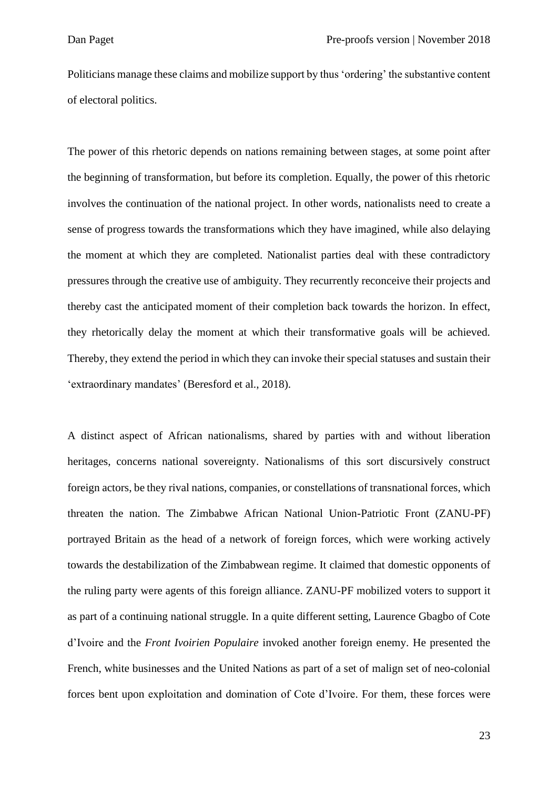Politicians manage these claims and mobilize support by thus 'ordering' the substantive content of electoral politics.

The power of this rhetoric depends on nations remaining between stages, at some point after the beginning of transformation, but before its completion. Equally, the power of this rhetoric involves the continuation of the national project. In other words, nationalists need to create a sense of progress towards the transformations which they have imagined, while also delaying the moment at which they are completed. Nationalist parties deal with these contradictory pressures through the creative use of ambiguity. They recurrently reconceive their projects and thereby cast the anticipated moment of their completion back towards the horizon. In effect, they rhetorically delay the moment at which their transformative goals will be achieved. Thereby, they extend the period in which they can invoke their special statuses and sustain their 'extraordinary mandates' (Beresford et al., 2018).

A distinct aspect of African nationalisms, shared by parties with and without liberation heritages, concerns national sovereignty. Nationalisms of this sort discursively construct foreign actors, be they rival nations, companies, or constellations of transnational forces, which threaten the nation. The Zimbabwe African National Union-Patriotic Front (ZANU-PF) portrayed Britain as the head of a network of foreign forces, which were working actively towards the destabilization of the Zimbabwean regime. It claimed that domestic opponents of the ruling party were agents of this foreign alliance. ZANU-PF mobilized voters to support it as part of a continuing national struggle. In a quite different setting, Laurence Gbagbo of Cote d'Ivoire and the *Front Ivoirien Populaire* invoked another foreign enemy*.* He presented the French, white businesses and the United Nations as part of a set of malign set of neo-colonial forces bent upon exploitation and domination of Cote d'Ivoire. For them, these forces were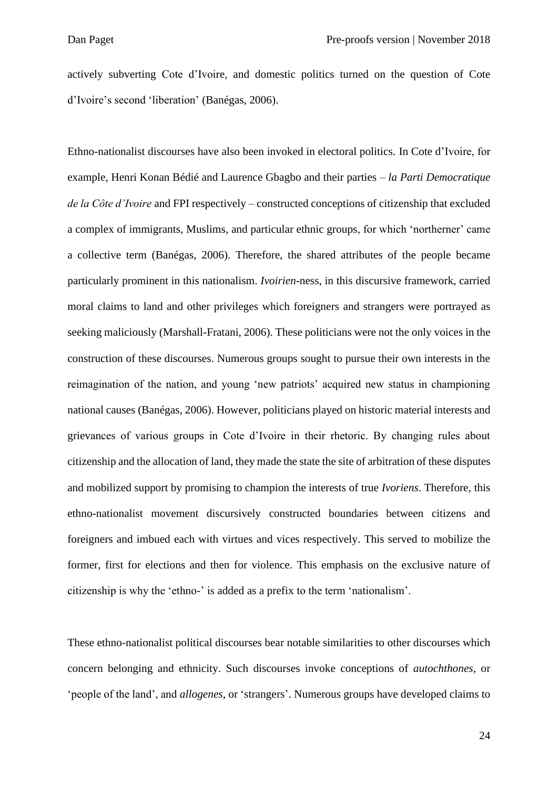actively subverting Cote d'Ivoire, and domestic politics turned on the question of Cote d'Ivoire's second 'liberation' (Banégas, 2006).

Ethno-nationalist discourses have also been invoked in electoral politics. In Cote d'Ivoire, for example, Henri Konan Bédié and Laurence Gbagbo and their parties *– la Parti Democratique de la Côte d'Ivoire* and FPI respectively – constructed conceptions of citizenship that excluded a complex of immigrants, Muslims, and particular ethnic groups, for which 'northerner' came a collective term (Banégas, 2006). Therefore, the shared attributes of the people became particularly prominent in this nationalism. *Ivoirien*-ness, in this discursive framework, carried moral claims to land and other privileges which foreigners and strangers were portrayed as seeking maliciously (Marshall-Fratani, 2006). These politicians were not the only voices in the construction of these discourses. Numerous groups sought to pursue their own interests in the reimagination of the nation, and young 'new patriots' acquired new status in championing national causes (Banégas, 2006). However, politicians played on historic material interests and grievances of various groups in Cote d'Ivoire in their rhetoric. By changing rules about citizenship and the allocation of land, they made the state the site of arbitration of these disputes and mobilized support by promising to champion the interests of true *Ivoriens*. Therefore, this ethno-nationalist movement discursively constructed boundaries between citizens and foreigners and imbued each with virtues and vices respectively. This served to mobilize the former, first for elections and then for violence. This emphasis on the exclusive nature of citizenship is why the 'ethno-' is added as a prefix to the term 'nationalism'.

These ethno-nationalist political discourses bear notable similarities to other discourses which concern belonging and ethnicity. Such discourses invoke conceptions of *autochthones*, or 'people of the land', and *allogenes*, or 'strangers'. Numerous groups have developed claims to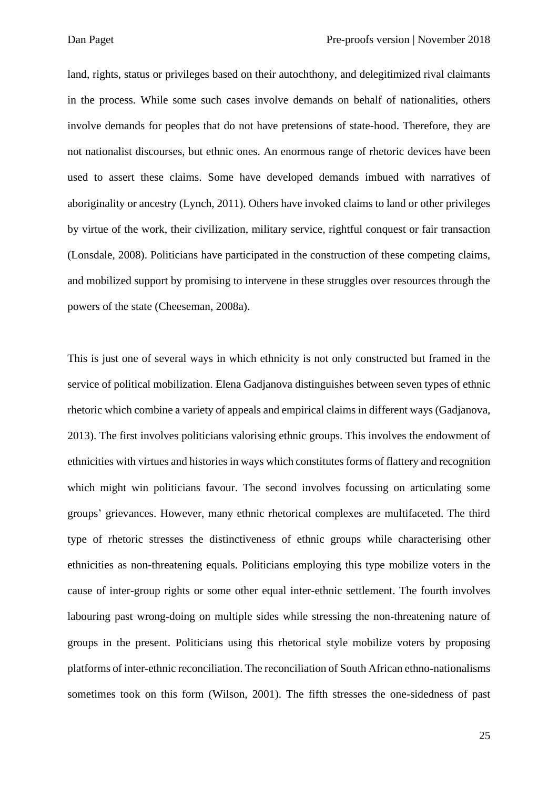land, rights, status or privileges based on their autochthony, and delegitimized rival claimants in the process. While some such cases involve demands on behalf of nationalities, others involve demands for peoples that do not have pretensions of state-hood. Therefore, they are not nationalist discourses, but ethnic ones. An enormous range of rhetoric devices have been used to assert these claims. Some have developed demands imbued with narratives of aboriginality or ancestry (Lynch, 2011). Others have invoked claims to land or other privileges by virtue of the work, their civilization, military service, rightful conquest or fair transaction (Lonsdale, 2008). Politicians have participated in the construction of these competing claims, and mobilized support by promising to intervene in these struggles over resources through the powers of the state (Cheeseman, 2008a).

This is just one of several ways in which ethnicity is not only constructed but framed in the service of political mobilization. Elena Gadjanova distinguishes between seven types of ethnic rhetoric which combine a variety of appeals and empirical claims in different ways (Gadjanova, 2013). The first involves politicians valorising ethnic groups. This involves the endowment of ethnicities with virtues and histories in ways which constitutes forms of flattery and recognition which might win politicians favour. The second involves focussing on articulating some groups' grievances. However, many ethnic rhetorical complexes are multifaceted. The third type of rhetoric stresses the distinctiveness of ethnic groups while characterising other ethnicities as non-threatening equals. Politicians employing this type mobilize voters in the cause of inter-group rights or some other equal inter-ethnic settlement. The fourth involves labouring past wrong-doing on multiple sides while stressing the non-threatening nature of groups in the present. Politicians using this rhetorical style mobilize voters by proposing platforms of inter-ethnic reconciliation. The reconciliation of South African ethno-nationalisms sometimes took on this form (Wilson, 2001). The fifth stresses the one-sidedness of past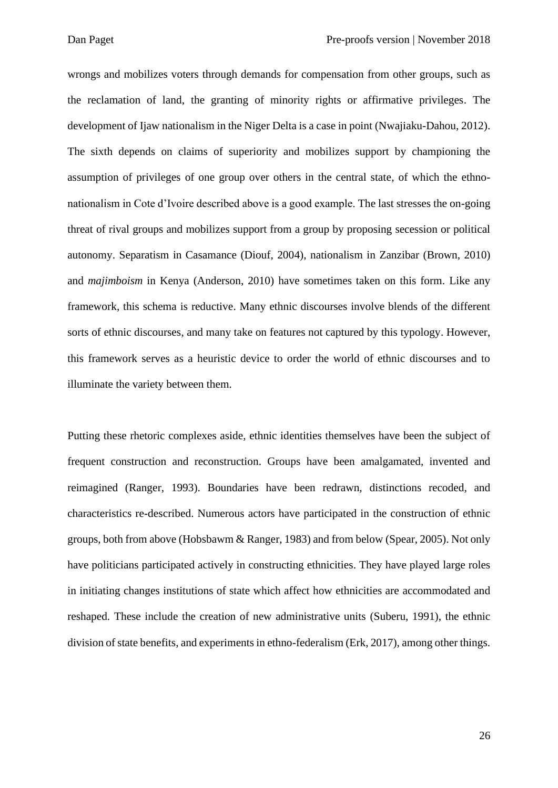wrongs and mobilizes voters through demands for compensation from other groups, such as the reclamation of land, the granting of minority rights or affirmative privileges. The development of Ijaw nationalism in the Niger Delta is a case in point (Nwajiaku-Dahou, 2012). The sixth depends on claims of superiority and mobilizes support by championing the assumption of privileges of one group over others in the central state, of which the ethnonationalism in Cote d'Ivoire described above is a good example. The last stresses the on-going threat of rival groups and mobilizes support from a group by proposing secession or political autonomy. Separatism in Casamance (Diouf, 2004), nationalism in Zanzibar (Brown, 2010) and *majimboism* in Kenya (Anderson, 2010) have sometimes taken on this form. Like any framework, this schema is reductive. Many ethnic discourses involve blends of the different sorts of ethnic discourses, and many take on features not captured by this typology. However, this framework serves as a heuristic device to order the world of ethnic discourses and to illuminate the variety between them.

Putting these rhetoric complexes aside, ethnic identities themselves have been the subject of frequent construction and reconstruction. Groups have been amalgamated, invented and reimagined (Ranger, 1993). Boundaries have been redrawn, distinctions recoded, and characteristics re-described. Numerous actors have participated in the construction of ethnic groups, both from above (Hobsbawm & Ranger, 1983) and from below (Spear, 2005). Not only have politicians participated actively in constructing ethnicities. They have played large roles in initiating changes institutions of state which affect how ethnicities are accommodated and reshaped. These include the creation of new administrative units (Suberu, 1991), the ethnic division of state benefits, and experiments in ethno-federalism (Erk, 2017), among other things.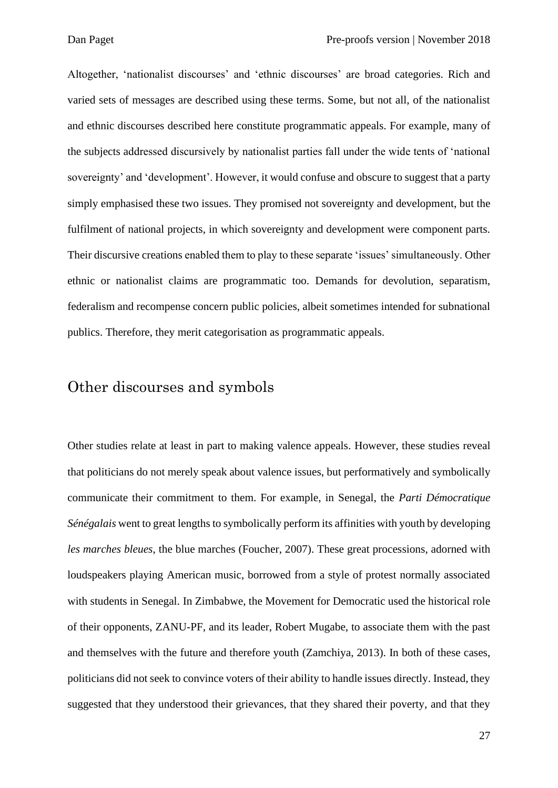Altogether, 'nationalist discourses' and 'ethnic discourses' are broad categories. Rich and varied sets of messages are described using these terms. Some, but not all, of the nationalist and ethnic discourses described here constitute programmatic appeals. For example, many of the subjects addressed discursively by nationalist parties fall under the wide tents of 'national sovereignty' and 'development'. However, it would confuse and obscure to suggest that a party simply emphasised these two issues. They promised not sovereignty and development, but the fulfilment of national projects, in which sovereignty and development were component parts. Their discursive creations enabled them to play to these separate 'issues' simultaneously. Other ethnic or nationalist claims are programmatic too. Demands for devolution, separatism, federalism and recompense concern public policies, albeit sometimes intended for subnational publics. Therefore, they merit categorisation as programmatic appeals.

#### Other discourses and symbols

Other studies relate at least in part to making valence appeals. However, these studies reveal that politicians do not merely speak about valence issues, but performatively and symbolically communicate their commitment to them. For example, in Senegal, the *Parti Démocratique Sénégalais* went to great lengths to symbolically perform its affinities with youth by developing *les marches bleues*, the blue marches (Foucher, 2007). These great processions, adorned with loudspeakers playing American music, borrowed from a style of protest normally associated with students in Senegal. In Zimbabwe, the Movement for Democratic used the historical role of their opponents, ZANU-PF, and its leader, Robert Mugabe, to associate them with the past and themselves with the future and therefore youth (Zamchiya, 2013). In both of these cases, politicians did not seek to convince voters of their ability to handle issues directly. Instead, they suggested that they understood their grievances, that they shared their poverty, and that they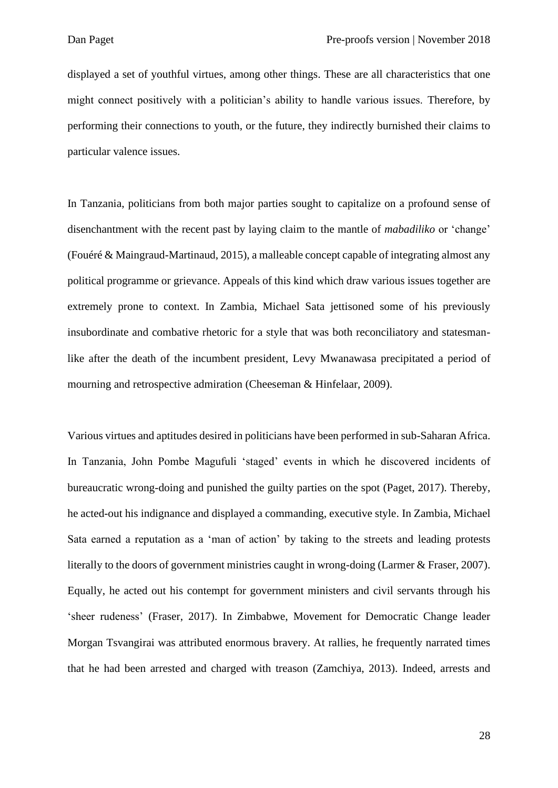displayed a set of youthful virtues, among other things. These are all characteristics that one might connect positively with a politician's ability to handle various issues. Therefore, by performing their connections to youth, or the future, they indirectly burnished their claims to particular valence issues.

In Tanzania, politicians from both major parties sought to capitalize on a profound sense of disenchantment with the recent past by laying claim to the mantle of *mabadiliko* or 'change' (Fouéré & Maingraud-Martinaud, 2015), a malleable concept capable of integrating almost any political programme or grievance. Appeals of this kind which draw various issues together are extremely prone to context. In Zambia, Michael Sata jettisoned some of his previously insubordinate and combative rhetoric for a style that was both reconciliatory and statesmanlike after the death of the incumbent president, Levy Mwanawasa precipitated a period of mourning and retrospective admiration (Cheeseman & Hinfelaar, 2009).

Various virtues and aptitudes desired in politicians have been performed in sub-Saharan Africa. In Tanzania, John Pombe Magufuli 'staged' events in which he discovered incidents of bureaucratic wrong-doing and punished the guilty parties on the spot (Paget, 2017). Thereby, he acted-out his indignance and displayed a commanding, executive style. In Zambia, Michael Sata earned a reputation as a 'man of action' by taking to the streets and leading protests literally to the doors of government ministries caught in wrong-doing (Larmer & Fraser, 2007). Equally, he acted out his contempt for government ministers and civil servants through his 'sheer rudeness' (Fraser, 2017). In Zimbabwe, Movement for Democratic Change leader Morgan Tsvangirai was attributed enormous bravery. At rallies, he frequently narrated times that he had been arrested and charged with treason (Zamchiya, 2013). Indeed, arrests and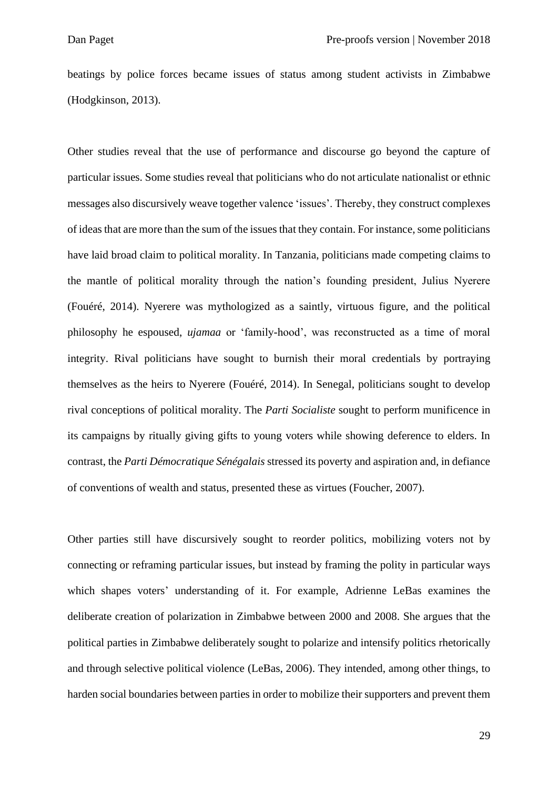beatings by police forces became issues of status among student activists in Zimbabwe (Hodgkinson, 2013).

Other studies reveal that the use of performance and discourse go beyond the capture of particular issues. Some studies reveal that politicians who do not articulate nationalist or ethnic messages also discursively weave together valence 'issues'. Thereby, they construct complexes of ideas that are more than the sum of the issues that they contain. For instance, some politicians have laid broad claim to political morality. In Tanzania, politicians made competing claims to the mantle of political morality through the nation's founding president, Julius Nyerere (Fouéré, 2014). Nyerere was mythologized as a saintly, virtuous figure, and the political philosophy he espoused, *ujamaa* or 'family-hood', was reconstructed as a time of moral integrity. Rival politicians have sought to burnish their moral credentials by portraying themselves as the heirs to Nyerere (Fouéré, 2014). In Senegal, politicians sought to develop rival conceptions of political morality. The *Parti Socialiste* sought to perform munificence in its campaigns by ritually giving gifts to young voters while showing deference to elders. In contrast, the *Parti Démocratique Sénégalais* stressed its poverty and aspiration and, in defiance of conventions of wealth and status, presented these as virtues (Foucher, 2007).

Other parties still have discursively sought to reorder politics, mobilizing voters not by connecting or reframing particular issues, but instead by framing the polity in particular ways which shapes voters' understanding of it. For example, Adrienne LeBas examines the deliberate creation of polarization in Zimbabwe between 2000 and 2008. She argues that the political parties in Zimbabwe deliberately sought to polarize and intensify politics rhetorically and through selective political violence (LeBas, 2006). They intended, among other things, to harden social boundaries between parties in order to mobilize their supporters and prevent them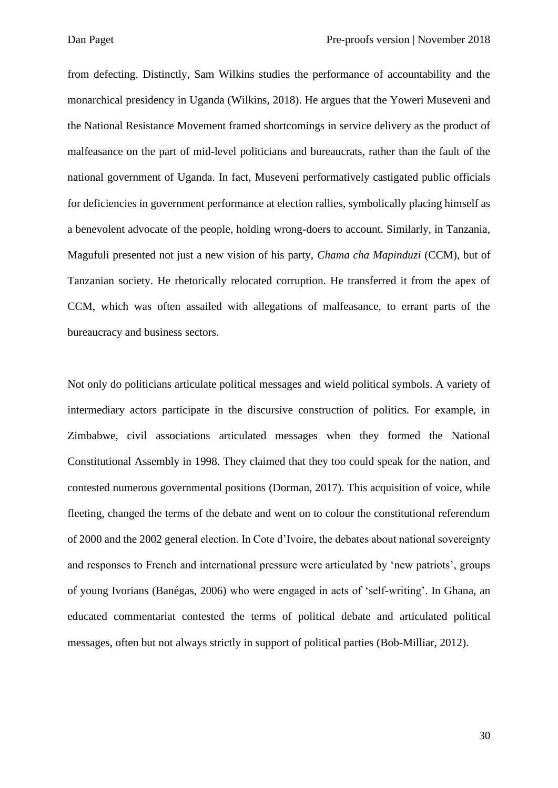from defecting. Distinctly, Sam Wilkins studies the performance of accountability and the monarchical presidency in Uganda (Wilkins, 2018). He argues that the Yoweri Museveni and the National Resistance Movement framed shortcomings in service delivery as the product of malfeasance on the part of mid-level politicians and bureaucrats, rather than the fault of the national government of Uganda. In fact, Museveni performatively castigated public officials for deficiencies in government performance at election rallies, symbolically placing himself as a benevolent advocate of the people, holding wrong-doers to account. Similarly, in Tanzania, Magufuli presented not just a new vision of his party, *Chama cha Mapinduzi* (CCM), but of Tanzanian society. He rhetorically relocated corruption. He transferred it from the apex of CCM, which was often assailed with allegations of malfeasance, to errant parts of the bureaucracy and business sectors.

Not only do politicians articulate political messages and wield political symbols. A variety of intermediary actors participate in the discursive construction of politics. For example, in Zimbabwe, civil associations articulated messages when they formed the National Constitutional Assembly in 1998. They claimed that they too could speak for the nation, and contested numerous governmental positions (Dorman, 2017). This acquisition of voice, while fleeting, changed the terms of the debate and went on to colour the constitutional referendum of 2000 and the 2002 general election. In Cote d'Ivoire, the debates about national sovereignty and responses to French and international pressure were articulated by 'new patriots', groups of young Ivorians (Banégas, 2006) who were engaged in acts of 'self-writing'. In Ghana, an educated commentariat contested the terms of political debate and articulated political messages, often but not always strictly in support of political parties (Bob-Milliar, 2012).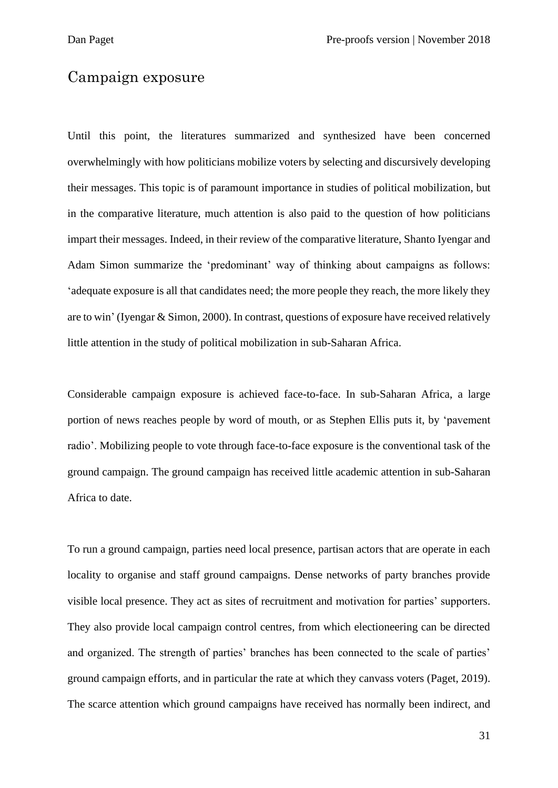#### Campaign exposure

Until this point, the literatures summarized and synthesized have been concerned overwhelmingly with how politicians mobilize voters by selecting and discursively developing their messages. This topic is of paramount importance in studies of political mobilization, but in the comparative literature, much attention is also paid to the question of how politicians impart their messages. Indeed, in their review of the comparative literature, Shanto Iyengar and Adam Simon summarize the 'predominant' way of thinking about campaigns as follows: 'adequate exposure is all that candidates need; the more people they reach, the more likely they are to win' (Iyengar & Simon, 2000). In contrast, questions of exposure have received relatively little attention in the study of political mobilization in sub-Saharan Africa.

Considerable campaign exposure is achieved face-to-face. In sub-Saharan Africa, a large portion of news reaches people by word of mouth, or as Stephen Ellis puts it, by 'pavement radio'. Mobilizing people to vote through face-to-face exposure is the conventional task of the ground campaign. The ground campaign has received little academic attention in sub-Saharan Africa to date.

To run a ground campaign, parties need local presence, partisan actors that are operate in each locality to organise and staff ground campaigns. Dense networks of party branches provide visible local presence. They act as sites of recruitment and motivation for parties' supporters. They also provide local campaign control centres, from which electioneering can be directed and organized. The strength of parties' branches has been connected to the scale of parties' ground campaign efforts, and in particular the rate at which they canvass voters (Paget, 2019). The scarce attention which ground campaigns have received has normally been indirect, and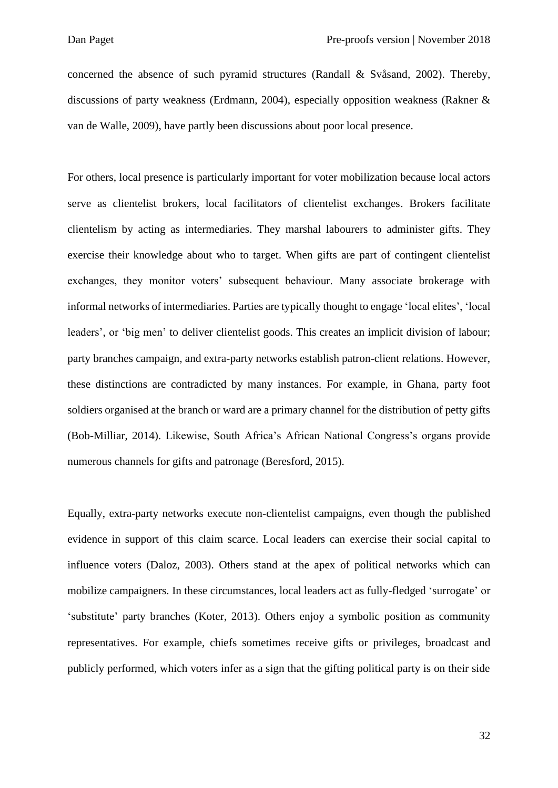concerned the absence of such pyramid structures (Randall & Svåsand, 2002). Thereby, discussions of party weakness (Erdmann, 2004), especially opposition weakness (Rakner & van de Walle, 2009), have partly been discussions about poor local presence.

For others, local presence is particularly important for voter mobilization because local actors serve as clientelist brokers, local facilitators of clientelist exchanges. Brokers facilitate clientelism by acting as intermediaries. They marshal labourers to administer gifts. They exercise their knowledge about who to target. When gifts are part of contingent clientelist exchanges, they monitor voters' subsequent behaviour. Many associate brokerage with informal networks of intermediaries. Parties are typically thought to engage 'local elites', 'local leaders', or 'big men' to deliver clientelist goods. This creates an implicit division of labour; party branches campaign, and extra-party networks establish patron-client relations. However, these distinctions are contradicted by many instances. For example, in Ghana, party foot soldiers organised at the branch or ward are a primary channel for the distribution of petty gifts (Bob-Milliar, 2014). Likewise, South Africa's African National Congress's organs provide numerous channels for gifts and patronage (Beresford, 2015).

Equally, extra-party networks execute non-clientelist campaigns, even though the published evidence in support of this claim scarce. Local leaders can exercise their social capital to influence voters (Daloz, 2003). Others stand at the apex of political networks which can mobilize campaigners. In these circumstances, local leaders act as fully-fledged 'surrogate' or 'substitute' party branches (Koter, 2013). Others enjoy a symbolic position as community representatives. For example, chiefs sometimes receive gifts or privileges, broadcast and publicly performed, which voters infer as a sign that the gifting political party is on their side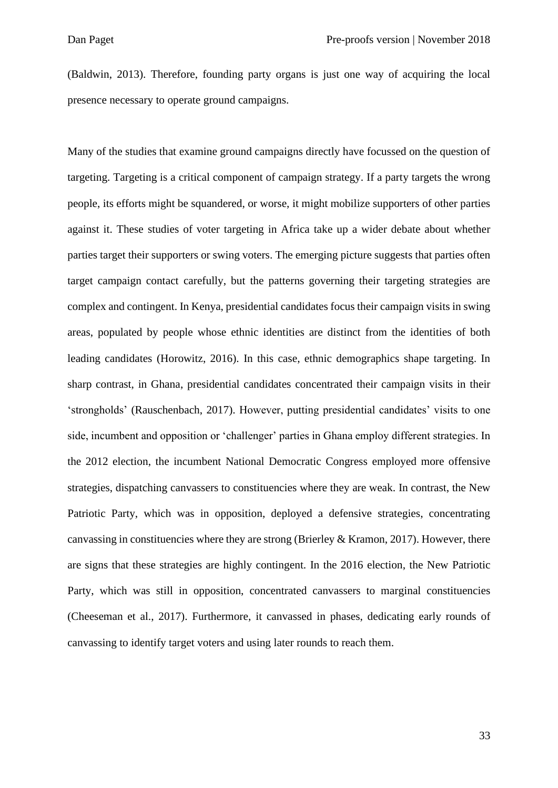(Baldwin, 2013). Therefore, founding party organs is just one way of acquiring the local presence necessary to operate ground campaigns.

Many of the studies that examine ground campaigns directly have focussed on the question of targeting. Targeting is a critical component of campaign strategy. If a party targets the wrong people, its efforts might be squandered, or worse, it might mobilize supporters of other parties against it. These studies of voter targeting in Africa take up a wider debate about whether parties target their supporters or swing voters. The emerging picture suggests that parties often target campaign contact carefully, but the patterns governing their targeting strategies are complex and contingent. In Kenya, presidential candidates focus their campaign visits in swing areas, populated by people whose ethnic identities are distinct from the identities of both leading candidates (Horowitz, 2016). In this case, ethnic demographics shape targeting. In sharp contrast, in Ghana, presidential candidates concentrated their campaign visits in their 'strongholds' (Rauschenbach, 2017). However, putting presidential candidates' visits to one side, incumbent and opposition or 'challenger' parties in Ghana employ different strategies. In the 2012 election, the incumbent National Democratic Congress employed more offensive strategies, dispatching canvassers to constituencies where they are weak. In contrast, the New Patriotic Party, which was in opposition, deployed a defensive strategies, concentrating canvassing in constituencies where they are strong (Brierley & Kramon, 2017). However, there are signs that these strategies are highly contingent. In the 2016 election, the New Patriotic Party, which was still in opposition, concentrated canvassers to marginal constituencies (Cheeseman et al., 2017). Furthermore, it canvassed in phases, dedicating early rounds of canvassing to identify target voters and using later rounds to reach them.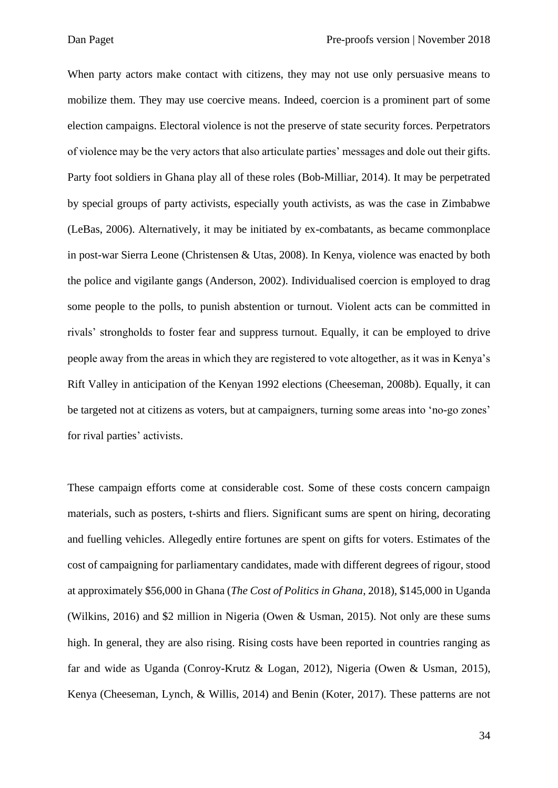When party actors make contact with citizens, they may not use only persuasive means to mobilize them. They may use coercive means. Indeed, coercion is a prominent part of some election campaigns. Electoral violence is not the preserve of state security forces. Perpetrators of violence may be the very actors that also articulate parties' messages and dole out their gifts. Party foot soldiers in Ghana play all of these roles (Bob-Milliar, 2014). It may be perpetrated by special groups of party activists, especially youth activists, as was the case in Zimbabwe (LeBas, 2006). Alternatively, it may be initiated by ex-combatants, as became commonplace in post-war Sierra Leone (Christensen & Utas, 2008). In Kenya, violence was enacted by both the police and vigilante gangs (Anderson, 2002). Individualised coercion is employed to drag some people to the polls, to punish abstention or turnout. Violent acts can be committed in rivals' strongholds to foster fear and suppress turnout. Equally, it can be employed to drive people away from the areas in which they are registered to vote altogether, as it was in Kenya's Rift Valley in anticipation of the Kenyan 1992 elections (Cheeseman, 2008b). Equally, it can be targeted not at citizens as voters, but at campaigners, turning some areas into 'no-go zones' for rival parties' activists.

These campaign efforts come at considerable cost. Some of these costs concern campaign materials, such as posters, t-shirts and fliers. Significant sums are spent on hiring, decorating and fuelling vehicles. Allegedly entire fortunes are spent on gifts for voters. Estimates of the cost of campaigning for parliamentary candidates, made with different degrees of rigour, stood at approximately \$56,000 in Ghana (*The Cost of Politics in Ghana*, 2018), \$145,000 in Uganda (Wilkins, 2016) and \$2 million in Nigeria (Owen & Usman, 2015). Not only are these sums high. In general, they are also rising. Rising costs have been reported in countries ranging as far and wide as Uganda (Conroy-Krutz & Logan, 2012), Nigeria (Owen & Usman, 2015), Kenya (Cheeseman, Lynch, & Willis, 2014) and Benin (Koter, 2017). These patterns are not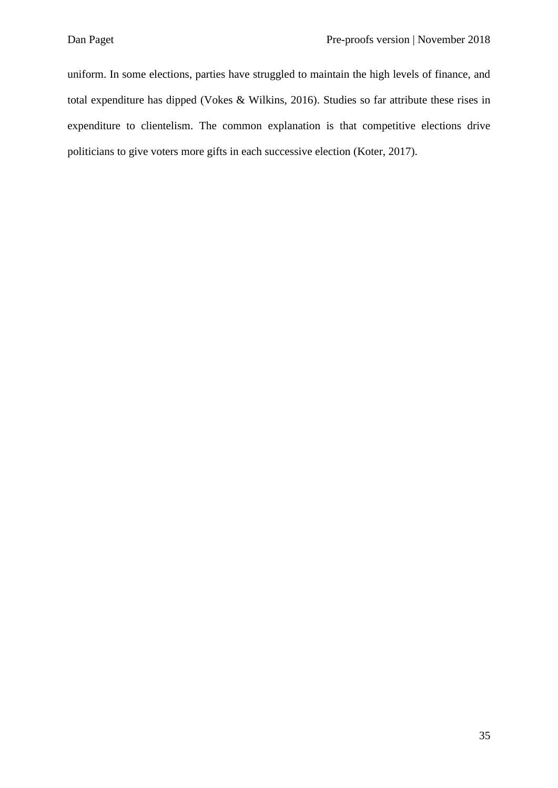uniform. In some elections, parties have struggled to maintain the high levels of finance, and total expenditure has dipped (Vokes & Wilkins, 2016). Studies so far attribute these rises in expenditure to clientelism. The common explanation is that competitive elections drive politicians to give voters more gifts in each successive election (Koter, 2017).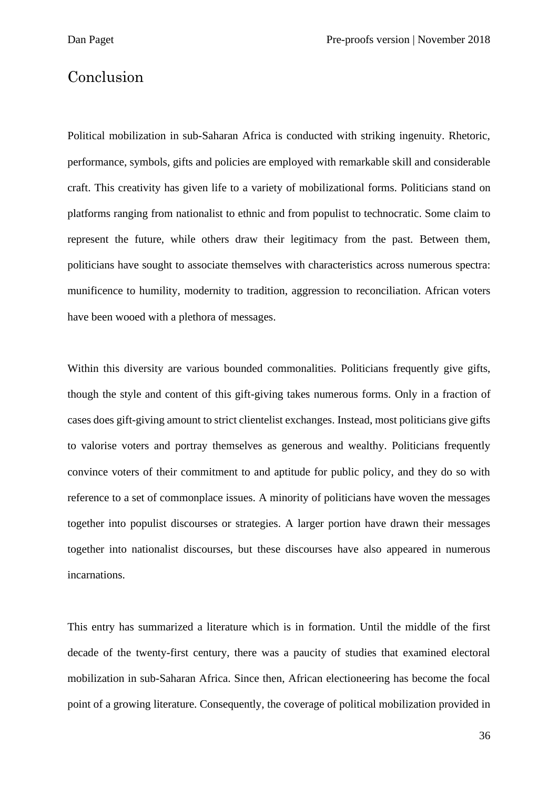#### Conclusion

Political mobilization in sub-Saharan Africa is conducted with striking ingenuity. Rhetoric, performance, symbols, gifts and policies are employed with remarkable skill and considerable craft. This creativity has given life to a variety of mobilizational forms. Politicians stand on platforms ranging from nationalist to ethnic and from populist to technocratic. Some claim to represent the future, while others draw their legitimacy from the past. Between them, politicians have sought to associate themselves with characteristics across numerous spectra: munificence to humility, modernity to tradition, aggression to reconciliation. African voters have been wooed with a plethora of messages.

Within this diversity are various bounded commonalities. Politicians frequently give gifts, though the style and content of this gift-giving takes numerous forms. Only in a fraction of cases does gift-giving amount to strict clientelist exchanges. Instead, most politicians give gifts to valorise voters and portray themselves as generous and wealthy. Politicians frequently convince voters of their commitment to and aptitude for public policy, and they do so with reference to a set of commonplace issues. A minority of politicians have woven the messages together into populist discourses or strategies. A larger portion have drawn their messages together into nationalist discourses, but these discourses have also appeared in numerous incarnations.

This entry has summarized a literature which is in formation. Until the middle of the first decade of the twenty-first century, there was a paucity of studies that examined electoral mobilization in sub-Saharan Africa. Since then, African electioneering has become the focal point of a growing literature. Consequently, the coverage of political mobilization provided in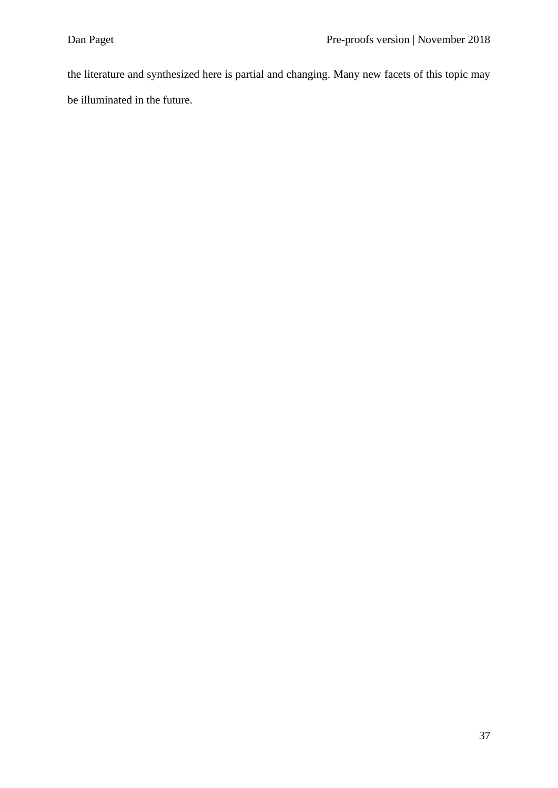the literature and synthesized here is partial and changing. Many new facets of this topic may be illuminated in the future.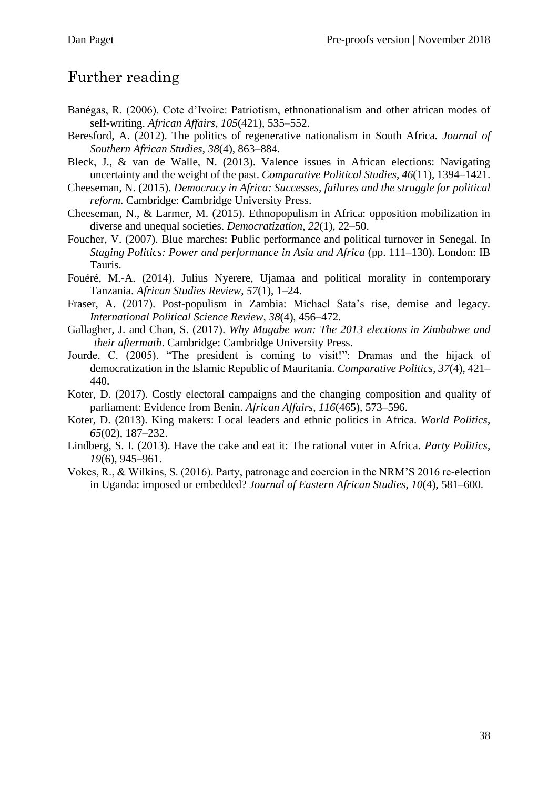## Further reading

- Banégas, R. (2006). Cote d'Ivoire: Patriotism, ethnonationalism and other african modes of self-writing. *African Affairs*, *105*(421), 535–552.
- Beresford, A. (2012). The politics of regenerative nationalism in South Africa. *Journal of Southern African Studies*, *38*(4), 863–884.
- Bleck, J., & van de Walle, N. (2013). Valence issues in African elections: Navigating uncertainty and the weight of the past. *Comparative Political Studies*, *46*(11), 1394–1421.
- Cheeseman, N. (2015). *Democracy in Africa: Successes, failures and the struggle for political reform*. Cambridge: Cambridge University Press.
- Cheeseman, N., & Larmer, M. (2015). Ethnopopulism in Africa: opposition mobilization in diverse and unequal societies. *Democratization*, *22*(1), 22–50.
- Foucher, V. (2007). Blue marches: Public performance and political turnover in Senegal. In *Staging Politics: Power and performance in Asia and Africa* (pp. 111–130). London: IB Tauris.
- Fouéré, M.-A. (2014). Julius Nyerere, Ujamaa and political morality in contemporary Tanzania. *African Studies Review*, *57*(1), 1–24.
- Fraser, A. (2017). Post-populism in Zambia: Michael Sata's rise, demise and legacy. *International Political Science Review*, *38*(4), 456–472.
- Gallagher, J. and Chan, S. (2017). *Why Mugabe won: The 2013 elections in Zimbabwe and their aftermath*. Cambridge: Cambridge University Press.
- Jourde, C. (2005). "The president is coming to visit!": Dramas and the hijack of democratization in the Islamic Republic of Mauritania. *Comparative Politics*, *37*(4), 421– 440.
- Koter, D. (2017). Costly electoral campaigns and the changing composition and quality of parliament: Evidence from Benin. *African Affairs*, *116*(465), 573–596.
- Koter, D. (2013). King makers: Local leaders and ethnic politics in Africa. *World Politics*, *65*(02), 187–232.
- Lindberg, S. I. (2013). Have the cake and eat it: The rational voter in Africa. *Party Politics*, *19*(6), 945–961.
- Vokes, R., & Wilkins, S. (2016). Party, patronage and coercion in the NRM'S 2016 re-election in Uganda: imposed or embedded? *Journal of Eastern African Studies*, *10*(4), 581–600.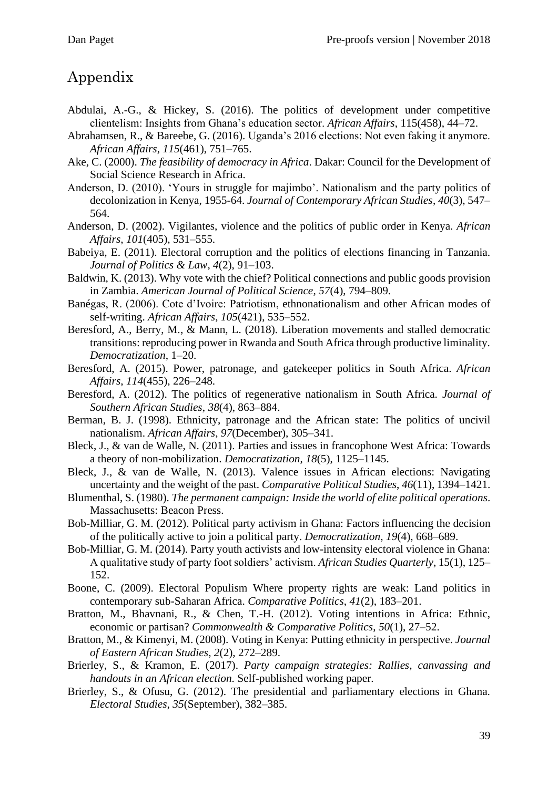# Appendix

- Abdulai, A.-G., & Hickey, S. (2016). The politics of development under competitive clientelism: Insights from Ghana's education sector. *African Affairs*, 115(458), 44–72.
- Abrahamsen, R., & Bareebe, G. (2016). Uganda's 2016 elections: Not even faking it anymore. *African Affairs*, *115*(461), 751–765.
- Ake, C. (2000). *The feasibility of democracy in Africa*. Dakar: Council for the Development of Social Science Research in Africa.
- Anderson, D. (2010). 'Yours in struggle for majimbo'. Nationalism and the party politics of decolonization in Kenya, 1955-64. *Journal of Contemporary African Studies*, *40*(3), 547– 564.
- Anderson, D. (2002). Vigilantes, violence and the politics of public order in Kenya. *African Affairs*, *101*(405), 531–555.
- Babeiya, E. (2011). Electoral corruption and the politics of elections financing in Tanzania. *Journal of Politics & Law*, *4*(2), 91–103.
- Baldwin, K. (2013). Why vote with the chief? Political connections and public goods provision in Zambia. *American Journal of Political Science*, *57*(4), 794–809.
- Banégas, R. (2006). Cote d'Ivoire: Patriotism, ethnonationalism and other African modes of self-writing. *African Affairs*, *105*(421), 535–552.
- Beresford, A., Berry, M., & Mann, L. (2018). Liberation movements and stalled democratic transitions: reproducing power in Rwanda and South Africa through productive liminality. *Democratization*, 1–20.
- Beresford, A. (2015). Power, patronage, and gatekeeper politics in South Africa. *African Affairs*, *114*(455), 226–248.
- Beresford, A. (2012). The politics of regenerative nationalism in South Africa. *Journal of Southern African Studies*, *38*(4), 863–884.
- Berman, B. J. (1998). Ethnicity, patronage and the African state: The politics of uncivil nationalism. *African Affairs*, *97*(December), 305–341.
- Bleck, J., & van de Walle, N. (2011). Parties and issues in francophone West Africa: Towards a theory of non-mobilization. *Democratization*, *18*(5), 1125–1145.
- Bleck, J., & van de Walle, N. (2013). Valence issues in African elections: Navigating uncertainty and the weight of the past. *Comparative Political Studies*, *46*(11), 1394–1421.
- Blumenthal, S. (1980). *The permanent campaign: Inside the world of elite political operations*. Massachusetts: Beacon Press.
- Bob-Milliar, G. M. (2012). Political party activism in Ghana: Factors influencing the decision of the politically active to join a political party. *Democratization*, *19*(4), 668–689.
- Bob-Milliar, G. M. (2014). Party youth activists and low-intensity electoral violence in Ghana: A qualitative study of party foot soldiers' activism. *African Studies Quarterly*, 15(1), 125– 152.
- Boone, C. (2009). Electoral Populism Where property rights are weak: Land politics in contemporary sub-Saharan Africa. *Comparative Politics*, *41*(2), 183–201.
- Bratton, M., Bhavnani, R., & Chen, T.-H. (2012). Voting intentions in Africa: Ethnic, economic or partisan? *Commonwealth & Comparative Politics*, *50*(1), 27–52.
- Bratton, M., & Kimenyi, M. (2008). Voting in Kenya: Putting ethnicity in perspective. *Journal of Eastern African Studies*, *2*(2), 272–289.
- Brierley, S., & Kramon, E. (2017). *Party campaign strategies: Rallies, canvassing and handouts in an African election*. Self-published working paper.
- Brierley, S., & Ofusu, G. (2012). The presidential and parliamentary elections in Ghana. *Electoral Studies, 35*(September), 382–385.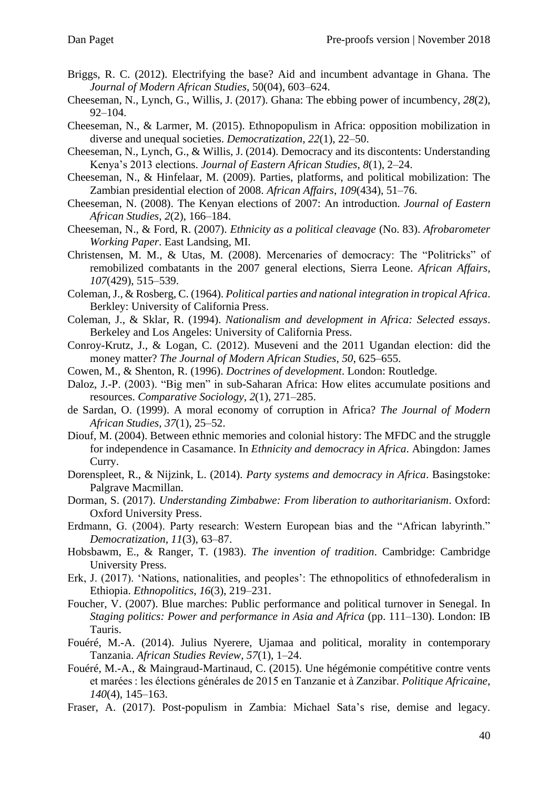- Briggs, R. C. (2012). Electrifying the base? Aid and incumbent advantage in Ghana. The *Journal of Modern African Studies*, 50(04), 603–624.
- Cheeseman, N., Lynch, G., Willis, J. (2017). Ghana: The ebbing power of incumbency, *28*(2), 92–104.
- Cheeseman, N., & Larmer, M. (2015). Ethnopopulism in Africa: opposition mobilization in diverse and unequal societies. *Democratization*, *22*(1), 22–50.
- Cheeseman, N., Lynch, G., & Willis, J. (2014). Democracy and its discontents: Understanding Kenya's 2013 elections. *Journal of Eastern African Studies*, *8*(1), 2–24.
- Cheeseman, N., & Hinfelaar, M. (2009). Parties, platforms, and political mobilization: The Zambian presidential election of 2008. *African Affairs*, *109*(434), 51–76.
- Cheeseman, N. (2008). The Kenyan elections of 2007: An introduction. *Journal of Eastern African Studies*, *2*(2), 166–184.
- Cheeseman, N., & Ford, R. (2007). *Ethnicity as a political cleavage* (No. 83). *Afrobarometer Working Paper*. East Landsing, MI.
- Christensen, M. M., & Utas, M. (2008). Mercenaries of democracy: The "Politricks" of remobilized combatants in the 2007 general elections, Sierra Leone. *African Affairs*, *107*(429), 515–539.
- Coleman, J., & Rosberg, C. (1964). *Political parties and national integration in tropical Africa*. Berkley: University of California Press.
- Coleman, J., & Sklar, R. (1994). *Nationalism and development in Africa: Selected essays*. Berkeley and Los Angeles: University of California Press.
- Conroy-Krutz, J., & Logan, C. (2012). Museveni and the 2011 Ugandan election: did the money matter? *The Journal of Modern African Studies*, *50*, 625–655.
- Cowen, M., & Shenton, R. (1996). *Doctrines of development*. London: Routledge.
- Daloz, J.-P. (2003). "Big men" in sub-Saharan Africa: How elites accumulate positions and resources. *Comparative Sociology*, *2*(1), 271–285.
- de Sardan, O. (1999). A moral economy of corruption in Africa? *The Journal of Modern African Studies*, *37*(1), 25–52.
- Diouf, M. (2004). Between ethnic memories and colonial history: The MFDC and the struggle for independence in Casamance. In *Ethnicity and democracy in Africa*. Abingdon: James Curry.
- Dorenspleet, R., & Nijzink, L. (2014). *Party systems and democracy in Africa*. Basingstoke: Palgrave Macmillan.
- Dorman, S. (2017). *Understanding Zimbabwe: From liberation to authoritarianism*. Oxford: Oxford University Press.
- Erdmann, G. (2004). Party research: Western European bias and the "African labyrinth." *Democratization*, *11*(3), 63–87.
- Hobsbawm, E., & Ranger, T. (1983). *The invention of tradition*. Cambridge: Cambridge University Press.
- Erk, J. (2017). 'Nations, nationalities, and peoples': The ethnopolitics of ethnofederalism in Ethiopia. *Ethnopolitics*, *16*(3), 219–231.
- Foucher, V. (2007). Blue marches: Public performance and political turnover in Senegal. In *Staging politics: Power and performance in Asia and Africa* (pp. 111–130). London: IB Tauris.
- Fouéré, M.-A. (2014). Julius Nyerere, Ujamaa and political, morality in contemporary Tanzania. *African Studies Review*, *57*(1), 1–24.
- Fouéré, M.-A., & Maingraud-Martinaud, C. (2015). Une hégémonie compétitive contre vents et marées : les élections générales de 2015 en Tanzanie et à Zanzibar. *Politique Africaine*, *140*(4), 145–163.
- Fraser, A. (2017). Post-populism in Zambia: Michael Sata's rise, demise and legacy.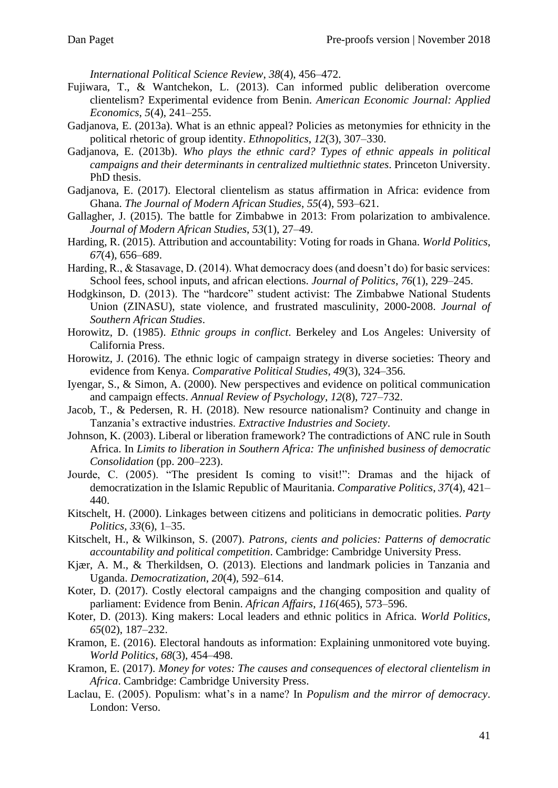*International Political Science Review*, *38*(4), 456–472.

- Fujiwara, T., & Wantchekon, L. (2013). Can informed public deliberation overcome clientelism? Experimental evidence from Benin. *American Economic Journal: Applied Economics*, *5*(4), 241–255.
- Gadjanova, E. (2013a). What is an ethnic appeal? Policies as metonymies for ethnicity in the political rhetoric of group identity. *Ethnopolitics*, *12*(3), 307–330.
- Gadjanova, E. (2013b). *Who plays the ethnic card? Types of ethnic appeals in political campaigns and their determinants in centralized multiethnic states*. Princeton University. PhD thesis.
- Gadjanova, E. (2017). Electoral clientelism as status affirmation in Africa: evidence from Ghana. *The Journal of Modern African Studies*, *55*(4), 593–621.
- Gallagher, J. (2015). The battle for Zimbabwe in 2013: From polarization to ambivalence. *Journal of Modern African Studies*, *53*(1), 27–49.
- Harding, R. (2015). Attribution and accountability: Voting for roads in Ghana. *World Politics*, *67*(4), 656–689.
- Harding, R., & Stasavage, D. (2014). What democracy does (and doesn't do) for basic services: School fees, school inputs, and african elections. *Journal of Politics*, *76*(1), 229–245.
- Hodgkinson, D. (2013). The "hardcore" student activist: The Zimbabwe National Students Union (ZINASU), state violence, and frustrated masculinity, 2000-2008. *Journal of Southern African Studies*.
- Horowitz, D. (1985). *Ethnic groups in conflict*. Berkeley and Los Angeles: University of California Press.
- Horowitz, J. (2016). The ethnic logic of campaign strategy in diverse societies: Theory and evidence from Kenya. *Comparative Political Studies*, *49*(3), 324–356.
- Iyengar, S., & Simon, A. (2000). New perspectives and evidence on political communication and campaign effects. *Annual Review of Psychology*, *12*(8), 727–732.
- Jacob, T., & Pedersen, R. H. (2018). New resource nationalism? Continuity and change in Tanzania's extractive industries. *Extractive Industries and Society*.
- Johnson, K. (2003). Liberal or liberation framework? The contradictions of ANC rule in South Africa. In *Limits to liberation in Southern Africa: The unfinished business of democratic Consolidation* (pp. 200–223).
- Jourde, C. (2005). "The president Is coming to visit!": Dramas and the hijack of democratization in the Islamic Republic of Mauritania. *Comparative Politics*, *37*(4), 421– 440.
- Kitschelt, H. (2000). Linkages between citizens and politicians in democratic polities. *Party Politics*, *33*(6), 1–35.
- Kitschelt, H., & Wilkinson, S. (2007). *Patrons, cients and policies: Patterns of democratic accountability and political competition*. Cambridge: Cambridge University Press.
- Kjær, A. M., & Therkildsen, O. (2013). Elections and landmark policies in Tanzania and Uganda. *Democratization*, *20*(4), 592–614.
- Koter, D. (2017). Costly electoral campaigns and the changing composition and quality of parliament: Evidence from Benin. *African Affairs*, *116*(465), 573–596.
- Koter, D. (2013). King makers: Local leaders and ethnic politics in Africa. *World Politics*, *65*(02), 187–232.
- Kramon, E. (2016). Electoral handouts as information: Explaining unmonitored vote buying. *World Politics*, *68*(3), 454–498.
- Kramon, E. (2017). *Money for votes: The causes and consequences of electoral clientelism in Africa*. Cambridge: Cambridge University Press.
- Laclau, E. (2005). Populism: what's in a name? In *Populism and the mirror of democracy*. London: Verso.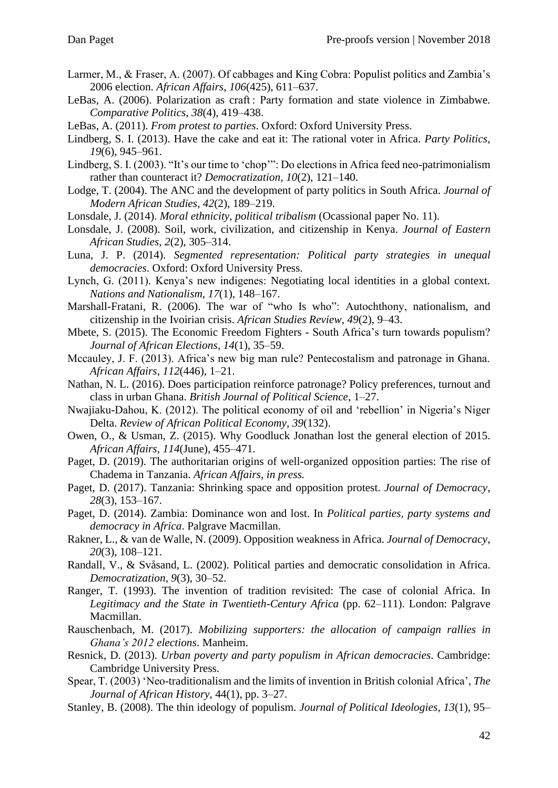- Larmer, M., & Fraser, A. (2007). Of cabbages and King Cobra: Populist politics and Zambia's 2006 election. *African Affairs*, *106*(425), 611–637.
- LeBas, A. (2006). Polarization as craft : Party formation and state violence in Zimbabwe. *Comparative Politics*, *38*(4), 419–438.
- LeBas, A. (2011). *From protest to parties*. Oxford: Oxford University Press.
- Lindberg, S. I. (2013). Have the cake and eat it: The rational voter in Africa. *Party Politics*, *19*(6), 945–961.
- Lindberg, S. I. (2003). "It's our time to 'chop'": Do elections in Africa feed neo-patrimonialism rather than counteract it? *Democratization*, *10*(2), 121–140.
- Lodge, T. (2004). The ANC and the development of party politics in South Africa. *Journal of Modern African Studies*, *42*(2), 189–219.
- Lonsdale, J. (2014). *Moral ethnicity, political tribalism* (Ocassional paper No. 11).
- Lonsdale, J. (2008). Soil, work, civilization, and citizenship in Kenya. *Journal of Eastern African Studies*, *2*(2), 305–314.
- Luna, J. P. (2014). *Segmented representation: Political party strategies in unequal democracies*. Oxford: Oxford University Press.
- Lynch, G. (2011). Kenya's new indigenes: Negotiating local identities in a global context. *Nations and Nationalism*, *17*(1), 148–167.
- Marshall-Fratani, R. (2006). The war of "who Is who": Autochthony, nationalism, and citizenship in the Ivoirian crisis. *African Studies Review*, *49*(2), 9–43.
- Mbete, S. (2015). The Economic Freedom Fighters South Africa's turn towards populism? *Journal of African Elections*, *14*(1), 35–59.
- Mccauley, J. F. (2013). Africa's new big man rule? Pentecostalism and patronage in Ghana. *African Affairs*, *112*(446), 1–21.
- Nathan, N. L. (2016). Does participation reinforce patronage? Policy preferences, turnout and class in urban Ghana. *British Journal of Political Science*, 1–27.
- Nwajiaku-Dahou, K. (2012). The political economy of oil and 'rebellion' in Nigeria's Niger Delta. *Review of African Political Economy*, *39*(132).
- Owen, O., & Usman, Z. (2015). Why Goodluck Jonathan lost the general election of 2015. *African Affairs*, *114*(June), 455–471.
- Paget, D. (2019). The authoritarian origins of well-organized opposition parties: The rise of Chadema in Tanzania. *African Affairs*, *in press.*
- Paget, D. (2017). Tanzania: Shrinking space and opposition protest. *Journal of Democracy*, *28*(3), 153–167.
- Paget, D. (2014). Zambia: Dominance won and lost. In *Political parties, party systems and democracy in Africa*. Palgrave Macmillan.
- Rakner, L., & van de Walle, N. (2009). Opposition weakness in Africa. *Journal of Democracy*, *20*(3), 108–121.
- Randall, V., & Svåsand, L. (2002). Political parties and democratic consolidation in Africa. *Democratization*, *9*(3), 30–52.
- Ranger, T. (1993). The invention of tradition revisited: The case of colonial Africa. In *Legitimacy and the State in Twentieth-Century Africa* (pp. 62–111). London: Palgrave Macmillan.
- Rauschenbach, M. (2017). *Mobilizing supporters: the allocation of campaign rallies in Ghana's 2012 elections*. Manheim.
- Resnick, D. (2013). *Urban poverty and party populism in African democracies*. Cambridge: Cambridge University Press.
- Spear, T. (2003) 'Neo-traditionalism and the limits of invention in British colonial Africa', *The Journal of African History*, 44(1), pp. 3–27.
- Stanley, B. (2008). The thin ideology of populism. *Journal of Political Ideologies*, *13*(1), 95–